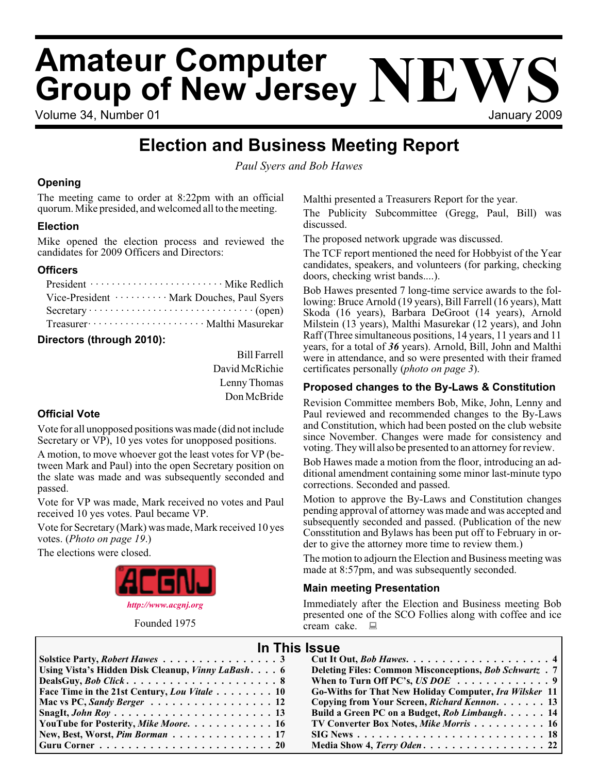# **Amateur Computer Group of New Jersey NEWS**

Volume 34, Number 01 January 2009

## **Election and Business Meeting Report**

*Paul Syers and Bob Hawes*

#### **Opening**

The meeting came to order at 8:22pm with an official quorum. Mike presided, and welcomed all to the meeting.

#### **Election**

Mike opened the election process and reviewed the candidates for 2009 Officers and Directors:

#### **Officers**

| Vice-President ·········· Mark Douches, Paul Syers  |
|-----------------------------------------------------|
|                                                     |
| Treasurer ························ Malthi Masurekar |

#### **Directors (through 2010):**

Bill Farrell David McRichie Lenny Thomas Don McBride

#### **Official Vote**

Vote for all unopposed positions was made (did not include Secretary or VP), 10 yes votes for unopposed positions.

A motion, to move whoever got the least votes for VP (between Mark and Paul) into the open Secretary position on the slate was made and was subsequently seconded and passed.

Vote for VP was made, Mark received no votes and Paul received 10 yes votes. Paul became VP.

Vote for Secretary (Mark) was made, Mark received 10 yes votes. (*Photo on page 19*.)

The elections were closed.



Founded 1975

Malthi presented a Treasurers Report for the year.

The Publicity Subcommittee (Gregg, Paul, Bill) was discussed.

The proposed network upgrade was discussed.

The TCF report mentioned the need for Hobbyist of the Year candidates, speakers, and volunteers (for parking, checking doors, checking wrist bands....).

Bob Hawes presented 7 long-time service awards to the following: Bruce Arnold (19 years), Bill Farrell (16 years), Matt Skoda (16 years), Barbara DeGroot (14 years), Arnold Milstein (13 years), Malthi Masurekar (12 years), and John Raff (Three simultaneous positions, 14 years, 11 years and 11 years, for a total of *36* years). Arnold, Bill, John and Malthi were in attendance, and so were presented with their framed certificates personally (*photo on page 3*).

#### **Proposed changes to the By-Laws & Constitution**

Revision Committee members Bob, Mike, John, Lenny and Paul reviewed and recommended changes to the By-Laws and Constitution, which had been posted on the club website since November. Changes were made for consistency and voting. They will also be presented to an attorney for review.

Bob Hawes made a motion from the floor, introducing an additional amendment containing some minor last-minute typo corrections. Seconded and passed.

Motion to approve the By-Laws and Constitution changes pending approval of attorney was made and was accepted and subsequently seconded and passed. (Publication of the new Consstitution and Bylaws has been put off to February in order to give the attorney more time to review them.)

The motion to adjourn the Election and Business meeting was made at 8:57pm, and was subsequently seconded.

#### **Main meeting Presentation**

Immediately after the Election and Business meeting Bob presented one of the SCO Follies along with coffee and ice cream cake. ■

#### **In This Issue**

| Using Vista's Hidden Disk Cleanup, Vinny LaBash 6                            | Deleting Files: Common Misconceptions, Bob Schwartz . 7       |
|------------------------------------------------------------------------------|---------------------------------------------------------------|
|                                                                              | When to Turn Off PC's, US DOE $\ldots \ldots \ldots \ldots$ 9 |
| <b>Face Time in the 21st Century, Lou Vitale  10</b>                         | Go-Withs for That New Holiday Computer, Ira Wilsker 11        |
| Mac vs PC, Sandy Berger $\ldots \ldots \ldots \ldots \ldots \ldots 12$       | Copying from Your Screen, Richard Kennon. 13                  |
|                                                                              | Build a Green PC on a Budget, Rob Limbaugh. 14                |
| YouTube for Posterity, Mike Moore. 16                                        | <b>TV Converter Box Notes, Mike Morris 16</b>                 |
| New, Best, Worst, Pim Borman 17                                              |                                                               |
| $ $ Guru Corner $\ldots \ldots \ldots \ldots \ldots \ldots \ldots \ldots 20$ |                                                               |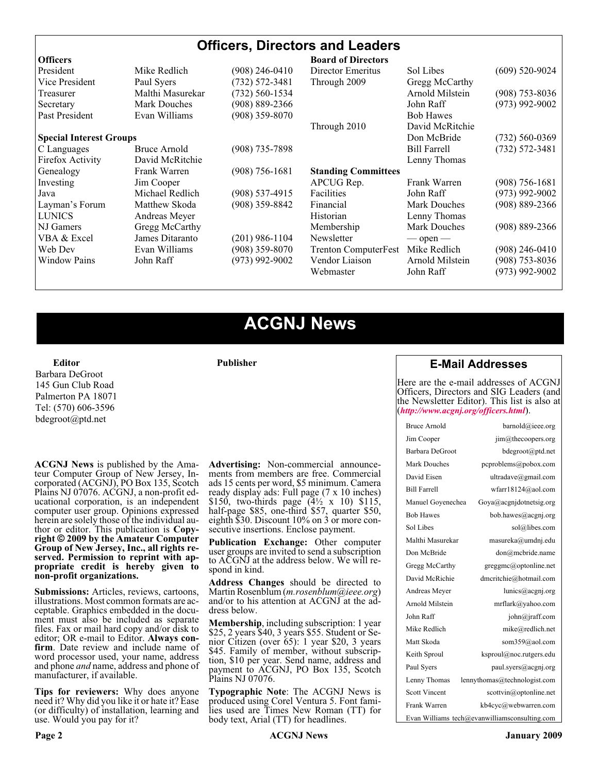| <b>Officers, Directors and Leaders</b> |                                |                    |                             |                     |                    |
|----------------------------------------|--------------------------------|--------------------|-----------------------------|---------------------|--------------------|
| <b>Officers</b>                        |                                |                    | <b>Board of Directors</b>   |                     |                    |
| President                              | Mike Redlich                   | (908) 246-0410     | Director Emeritus           | Sol Libes           | $(609)$ 520-9024   |
| Vice President                         | Paul Syers                     | $(732) 572 - 3481$ | Through 2009                | Gregg McCarthy      |                    |
| Treasurer                              | Malthi Masurekar               | (732) 560-1534     |                             | Arnold Milstein     | $(908)$ 753-8036   |
| Secretary                              | <b>Mark Douches</b>            | $(908) 889 - 2366$ | John Raff                   |                     | $(973)$ 992-9002   |
| Past President                         | Evan Williams                  | $(908)$ 359-8070   |                             | <b>Bob Hawes</b>    |                    |
|                                        |                                |                    | Through 2010                | David McRitchie     |                    |
|                                        | <b>Special Interest Groups</b> |                    | Don McBride                 | $(732)$ 560-0369    |                    |
| C Languages                            | Bruce Arnold                   | $(908)$ 735-7898   |                             | <b>Bill Farrell</b> | $(732) 572 - 3481$ |
| Firefox Activity                       | David McRitchie                |                    |                             | Lenny Thomas        |                    |
| Genealogy                              | Frank Warren                   | $(908)$ 756-1681   | <b>Standing Committees</b>  |                     |                    |
| Investing                              | Jim Cooper                     |                    | APCUG Rep.                  | Frank Warren        | $(908) 756 - 1681$ |
| Java                                   | Michael Redlich                | $(908) 537 - 4915$ | <b>Facilities</b>           | John Raff           | $(973)$ 992-9002   |
| Layman's Forum                         | Matthew Skoda                  | $(908)$ 359-8842   | Financial                   | <b>Mark Douches</b> | $(908) 889 - 2366$ |
| <b>LUNICS</b>                          | Andreas Meyer                  |                    | Historian                   | Lenny Thomas        |                    |
| NJ Gamers                              | Gregg McCarthy                 |                    | Membership                  | <b>Mark Douches</b> | $(908) 889 - 2366$ |
| VBA & Excel                            | James Ditaranto                | (201) 986-1104     | Newsletter                  | $-$ open $-$        |                    |
| Web Dev                                | Evan Williams                  | $(908)$ 359-8070   | <b>Trenton ComputerFest</b> | Mike Redlich        | $(908)$ 246-0410   |
| <b>Window Pains</b>                    | John Raff                      | $(973)$ 992-9002   | Vendor Liaison              | Arnold Milstein     | $(908) 753 - 8036$ |
|                                        |                                |                    | Webmaster                   | John Raff           | (973) 992-9002     |

## **ACGNJ News**

**Publisher**

**Editor** Barbara DeGroot 145 Gun Club Road Palmerton PA 18071 Tel: (570) 606-3596 bdegroot@ptd.net

**ACGNJ News** is published by the Ama- teur Computer Group of New Jersey, In- corporated (ACGNJ), PO Box 135, Scotch Plains NJ 07076. ACGNJ, a non-profit ed-<br>ucational corporation, is an independent computer user group. Opinions expressed herein are solely those of the individual author or editor. This publication is **Copy-**<br>**right** © 2009 by the Amateur Computer<br>**Group of New Jersey, Inc., all rights re-Group of New Jersey, Inc., all rights re- served. Permission to reprint with ap- propriate credit is hereby given to non-profit organizations.**

**Submissions:** Articles, reviews, cartoons, illustrations. Most common formats are ac- ceptable. Graphics embedded in the docu- ment must also be included as separate files. Fax or mail hard copy and/or disk to editor; OR e-mail to Editor. **Always con**firm. Date review and include name of word processor used, your name, address and phone *and* name, address and phone of manufacturer, if available.

**Tips for reviewers:** Why does anyone need it? Why did you like it or hate it? Ease (or difficulty) of installation, learning and use. Would you pay for it?

**Advertising:** Non-commercial announce- ments from members are free. Commercial ads 15 cents per word, \$5 minimum. Camera ready display ads: Full page (7 x 10 inches) \$150, two-thirds page  $(4\frac{1}{2} \times 10)$  \$115, half-page \$85, one-third \$57, quarter \$50, eighth \$30. Discount 10% on 3 or more con- secutive insertions. Enclose payment.

**Publication Exchange:** Other computer user groups are invited to send a subscription to ACGNJ at the address below. We will re- spond in kind.

**Address Changes** should be directed to Martin Rosenblum (*m.rosenblum@ieee.org*) and/or to his attention at ACGNJ at the ad- dress below.

**Membership**, including subscription: 1 year \$25, 2 years \$40, 3 years \$55. Student or Senior Citizen (over 65): 1 year \$20, 3 years \$45. Family of member, without subscription, \$10 per year. Send name, address and payment to ACGNJ, PO Box 135, Scotch Plains NJ 07076.

**Typographic Note**: The ACGNJ News is produced using Corel Ventura 5. Font fami- lies used are Times New Roman (TT) for body text, Arial (TT) for headlines.

#### **E-Mail Addresses**

Here are the e-mail addresses of ACGNJ Officers, Directors and SIG Leaders (and the Newsletter Editor). This list is also at (*<http://www.acgnj.org/officers.html>*).

| Bruce Arnold         | barnold@ieee.org                              |
|----------------------|-----------------------------------------------|
| Jim Cooper           | $\lim$ ( $a$ ) the coopers.org                |
| Barbara DeGroot      | bdegroot@ptd.net                              |
| Mark Douches         | pcproblems@pobox.com                          |
| David Eisen          | ultradave@gmail.com                           |
| <b>Bill Farrell</b>  | wfarr18124@aol.com                            |
| Manuel Goyenechea    | Goya@acgnidotnetsig.org                       |
| <b>Bob Hawes</b>     | bob.hawes@acgnj.org                           |
| Sol Libes            | sol@libes.com                                 |
| Malthi Masurekar     | masureka@umdnj.edu                            |
| Don McBride          | don@mcbride.name                              |
| Gregg McCarthy       | greggmc@optonline.net                         |
| David McRichie       | dmcritchie@hotmail.com                        |
| Andreas Meyer        | lunics@acgnj.org                              |
| Arnold Milstein      | mrflark@yahoo.com                             |
| John Raff            | $\overline{\text{iohn}(a)}$ raff.com          |
| Mike Redlich         | mike@redlich.net                              |
| Matt Skoda           | som359@aol.com                                |
| Keith Sproul         | ksproul@noc.rutgers.edu                       |
| Paul Syers           | paul.syers@acgnj.org                          |
| Lenny Thomas         | lennythomas@technologist.com                  |
| <b>Scott Vincent</b> | scottvin@optonline.net                        |
| Frank Warren         | kb4cyc@webwarren.com                          |
|                      | Evan Williams tech@evanwilliamsconsulting.com |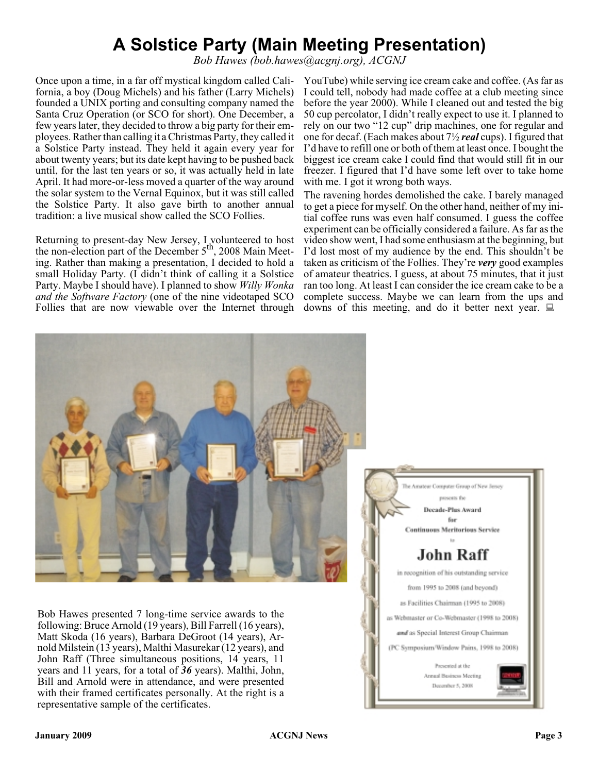## **A Solstice Party (Main Meeting Presentation)**

*Bob Hawes (bob.hawes@acgnj.org), ACGNJ*

Once upon a time, in a far off mystical kingdom called California, a boy (Doug Michels) and his father (Larry Michels) founded a UNIX porting and consulting company named the Santa Cruz Operation (or SCO for short). One December, a few years later, they decided to throw a big party for their employees. Rather than calling it a Christmas Party, they called it a Solstice Party instead. They held it again every year for about twenty years; but its date kept having to be pushed back until, for the last ten years or so, it was actually held in late April. It had more-or-less moved a quarter of the way around the solar system to the Vernal Equinox, but it was still called the Solstice Party. It also gave birth to another annual tradition: a live musical show called the SCO Follies.

Returning to present-day New Jersey, I volunteered to host the non-election part of the December  $5<sup>th</sup>$ , 2008 Main Meeting. Rather than making a presentation, I decided to hold a small Holiday Party. (I didn't think of calling it a Solstice Party. Maybe I should have). I planned to show *Willy Wonka and the Software Factory* (one of the nine videotaped SCO Follies that are now viewable over the Internet through YouTube) while serving ice cream cake and coffee. (As far as I could tell, nobody had made coffee at a club meeting since before the year 2000). While I cleaned out and tested the big 50 cup percolator, I didn't really expect to use it. I planned to rely on our two "12 cup" drip machines, one for regular and one for decaf. (Each makes about 7½ *real* cups). I figured that I'd have to refill one or both of them at least once. I bought the biggest ice cream cake I could find that would still fit in our freezer. I figured that I'd have some left over to take home with me. I got it wrong both ways.

The ravening hordes demolished the cake. I barely managed to get a piece for myself. On the other hand, neither of my initial coffee runs was even half consumed. I guess the coffee experiment can be officially considered a failure. As far as the video show went, I had some enthusiasm at the beginning, but I'd lost most of my audience by the end. This shouldn't be taken as criticism of the Follies. They're *very* good examples of amateur theatrics. I guess, at about 75 minutes, that it just ran too long. At least I can consider the ice cream cake to be a complete success. Maybe we can learn from the ups and downs of this meeting, and do it better next year.



Bob Hawes presented 7 long-time service awards to the following: Bruce Arnold (19 years), Bill Farrell (16 years), Matt Skoda (16 years), Barbara DeGroot (14 years), Arnold Milstein (13 years), Malthi Masurekar (12 years), and John Raff (Three simultaneous positions, 14 years, 11 years and 11 years, for a total of *36* years). Malthi, John, Bill and Arnold were in attendance, and were presented with their framed certificates personally. At the right is a representative sample of the certificates.

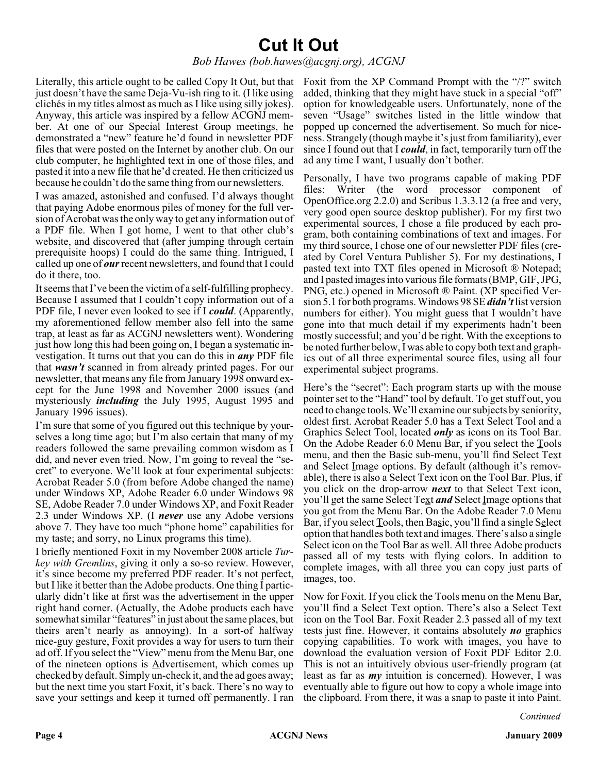## **Cut It Out**

#### *Bob Hawes (bob.hawes@acgnj.org), ACGNJ*

Literally, this article ought to be called Copy It Out, but that Foxit from the XP Command Prompt with the "/?" switch just doesn't have the same Deja-Vu-ish ring to it. (I like using clichés in my titles almost as much as I like using silly jokes). Anyway, this article was inspired by a fellow ACGNJ member. At one of our Special Interest Group meetings, he demonstrated a "new" feature he'd found in newsletter PDF files that were posted on the Internet by another club. On our club computer, he highlighted text in one of those files, and pasted it into a new file that he'd created. He then criticized us because he couldn't do the same thing from our newsletters.

I was amazed, astonished and confused. I'd always thought that paying Adobe enormous piles of money for the full version of Acrobat was the only way to get any information out of a PDF file. When I got home, I went to that other club's website, and discovered that (after jumping through certain prerequisite hoops) I could do the same thing. Intrigued, I called up one of *our*recent newsletters, and found that I could do it there, too.

It seems that I've been the victim of a self-fulfilling prophecy. Because I assumed that I couldn't copy information out of a PDF file, I never even looked to see if I *could*. (Apparently, my aforementioned fellow member also fell into the same trap, at least as far as ACGNJ newsletters went). Wondering just how long this had been going on, I began a systematic investigation. It turns out that you can do this in *any* PDF file that *wasn't* scanned in from already printed pages. For our newsletter, that means any file from January 1998 onward except for the June 1998 and November 2000 issues (and mysteriously *including* the July 1995, August 1995 and January 1996 issues).

I'm sure that some of you figured out this technique by yourselves a long time ago; but I'm also certain that many of my readers followed the same prevailing common wisdom as I did, and never even tried. Now, I'm going to reveal the "secret" to everyone. We'll look at four experimental subjects: Acrobat Reader 5.0 (from before Adobe changed the name) under Windows XP, Adobe Reader 6.0 under Windows 98 SE, Adobe Reader 7.0 under Windows XP, and Foxit Reader 2.3 under Windows XP. (I *never* use any Adobe versions above 7. They have too much "phone home" capabilities for my taste; and sorry, no Linux programs this time).

I briefly mentioned Foxit in my November 2008 article *Turkey with Gremlins*, giving it only a so-so review. However, it's since become my preferred PDF reader. It's not perfect, but I like it better than the Adobe products. One thing I particularly didn't like at first was the advertisement in the upper right hand corner. (Actually, the Adobe products each have somewhat similar "features" in just about the same places, but theirs aren't nearly as annoying). In a sort-of halfway nice-guy gesture, Foxit provides a way for users to turn their ad off. If you select the "View" menu from the Menu Bar, one of the nineteen options is Advertisement, which comes up checked by default. Simply un-check it, and the ad goes away; but the next time you start Foxit, it's back. There's no way to save your settings and keep it turned off permanently. I ran

added, thinking that they might have stuck in a special "off" option for knowledgeable users. Unfortunately, none of the seven "Usage" switches listed in the little window that popped up concerned the advertisement. So much for niceness. Strangely (though maybe it's just from familiarity), ever since I found out that I *could*, in fact, temporarily turn off the ad any time I want, I usually don't bother.

Personally, I have two programs capable of making PDF files: Writer (the word processor component of OpenOffice.org 2.2.0) and Scribus 1.3.3.12 (a free and very, very good open source desktop publisher). For my first two experimental sources, I chose a file produced by each program, both containing combinations of text and images. For my third source, I chose one of our newsletter PDF files (created by Corel Ventura Publisher 5). For my destinations, I pasted text into TXT files opened in Microsoft ® Notepad; and I pasted images into various file formats (BMP, GIF, JPG, PNG, etc.) opened in Microsoft ® Paint. (XP specified Version 5.1 for both programs. Windows 98 SE*didn't* list version numbers for either). You might guess that I wouldn't have gone into that much detail if my experiments hadn't been mostly successful; and you'd be right. With the exceptions to be noted further below, I was able to copy both text and graphics out of all three experimental source files, using all four experimental subject programs.

Here's the "secret": Each program starts up with the mouse pointer set to the "Hand" tool by default. To get stuff out, you need to change tools. We'll examine our subjects by seniority, oldest first. Acrobat Reader 5.0 has a Text Select Tool and a Graphics Select Tool, located *only* as icons on its Tool Bar. On the Adobe Reader 6.0 Menu Bar, if you select the Tools menu, and then the Basic sub-menu, you'll find Select Text and Select Image options. By default (although it's removable), there is also a Select Text icon on the Tool Bar. Plus, if you click on the drop-arrow *next* to that Select Text icon, you'll get the same Select Text *and* Select Image options that you got from the Menu Bar. On the Adobe Reader 7.0 Menu Bar, if you select Tools, then Basic, you'll find a single Select option that handles both text and images. There's also a single Select icon on the Tool Bar as well. All three Adobe products passed all of my tests with flying colors. In addition to complete images, with all three you can copy just parts of images, too.

Now for Foxit. If you click the Tools menu on the Menu Bar, you'll find a Select Text option. There's also a Select Text icon on the Tool Bar. Foxit Reader 2.3 passed all of my text tests just fine. However, it contains absolutely *no* graphics copying capabilities. To work with images, you have to download the evaluation version of Foxit PDF Editor 2.0. This is not an intuitively obvious user-friendly program (at least as far as *my* intuition is concerned). However, I was eventually able to figure out how to copy a whole image into the clipboard. From there, it was a snap to paste it into Paint.

*Continued*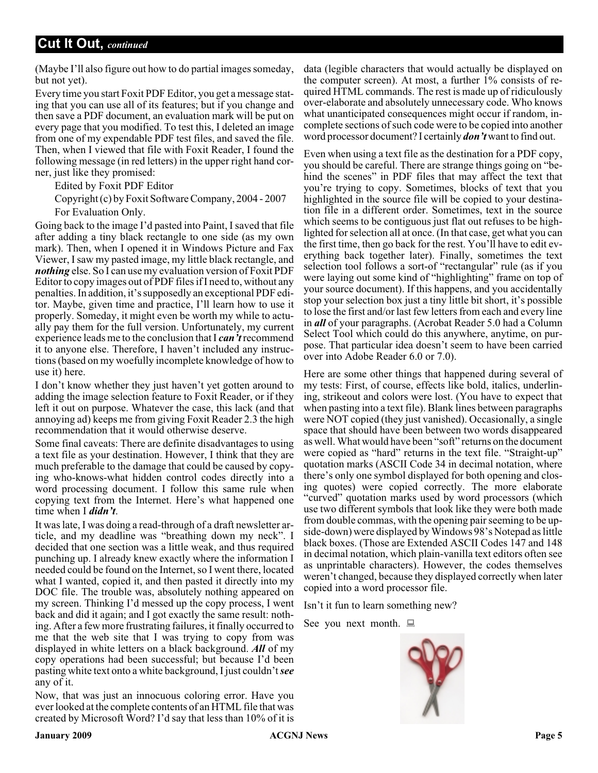(Maybe I'll also figure out how to do partial images someday, but not yet).

Every time you start Foxit PDF Editor, you get a message stating that you can use all of its features; but if you change and then save a PDF document, an evaluation mark will be put on every page that you modified. To test this, I deleted an image from one of my expendable PDF test files, and saved the file. Then, when I viewed that file with Foxit Reader, I found the following message (in red letters) in the upper right hand corner, just like they promised:

Edited by Foxit PDF Editor

Copyright (c) by Foxit Software Company, 2004 - 2007 For Evaluation Only.

Going back to the image I'd pasted into Paint, I saved that file after adding a tiny black rectangle to one side (as my own mark). Then, when I opened it in Windows Picture and Fax Viewer, I saw my pasted image, my little black rectangle, and *nothing* else. So I can use my evaluation version of Foxit PDF Editor to copy images out of PDF files if I need to, without any penalties. In addition, it's supposedly an exceptional PDF editor. Maybe, given time and practice, I'll learn how to use it properly. Someday, it might even be worth my while to actually pay them for the full version. Unfortunately, my current experience leads me to the conclusion that I *can't*recommend it to anyone else. Therefore, I haven't included any instructions (based on my woefully incomplete knowledge of how to use it) here.

I don't know whether they just haven't yet gotten around to adding the image selection feature to Foxit Reader, or if they left it out on purpose. Whatever the case, this lack (and that annoying ad) keeps me from giving Foxit Reader 2.3 the high recommendation that it would otherwise deserve.

Some final caveats: There are definite disadvantages to using a text file as your destination. However, I think that they are much preferable to the damage that could be caused by copying who-knows-what hidden control codes directly into a word processing document. I follow this same rule when copying text from the Internet. Here's what happened one time when I *didn't*.

It was late, I was doing a read-through of a draft newsletter article, and my deadline was "breathing down my neck". I decided that one section was a little weak, and thus required punching up. I already knew exactly where the information I needed could be found on the Internet, so I went there, located what I wanted, copied it, and then pasted it directly into my DOC file. The trouble was, absolutely nothing appeared on my screen. Thinking I'd messed up the copy process, I went back and did it again; and I got exactly the same result: nothing. After a few more frustrating failures, it finally occurred to me that the web site that I was trying to copy from was displayed in white letters on a black background. *All* of my copy operations had been successful; but because I'd been pasting white text onto a white background, I just couldn't*see* any of it.

Now, that was just an innocuous coloring error. Have you ever looked at the complete contents of an HTML file that was created by Microsoft Word? I'd say that less than 10% of it is

data (legible characters that would actually be displayed on the computer screen). At most, a further 1% consists of required HTML commands. The rest is made up of ridiculously over-elaborate and absolutely unnecessary code. Who knows what unanticipated consequences might occur if random, incomplete sections of such code were to be copied into another word processor document? I certainly *don't* want to find out.

Even when using a text file as the destination for a PDF copy, you should be careful. There are strange things going on "behind the scenes" in PDF files that may affect the text that you're trying to copy. Sometimes, blocks of text that you highlighted in the source file will be copied to your destination file in a different order. Sometimes, text in the source which seems to be contiguous just flat out refuses to be highlighted for selection all at once. (In that case, get what you can the first time, then go back for the rest. You'll have to edit everything back together later). Finally, sometimes the text selection tool follows a sort-of "rectangular" rule (as if you were laying out some kind of "highlighting" frame on top of your source document). If this happens, and you accidentally stop your selection box just a tiny little bit short, it's possible to lose the first and/or last few letters from each and every line in *all* of your paragraphs. (Acrobat Reader 5.0 had a Column Select Tool which could do this anywhere, anytime, on purpose. That particular idea doesn't seem to have been carried over into Adobe Reader 6.0 or 7.0).

Here are some other things that happened during several of my tests: First, of course, effects like bold, italics, underlining, strikeout and colors were lost. (You have to expect that when pasting into a text file). Blank lines between paragraphs were NOT copied (they just vanished). Occasionally, a single space that should have been between two words disappeared as well. What would have been "soft" returns on the document were copied as "hard" returns in the text file. "Straight-up" quotation marks (ASCII Code 34 in decimal notation, where there's only one symbol displayed for both opening and closing quotes) were copied correctly. The more elaborate "curved" quotation marks used by word processors (which use two different symbols that look like they were both made from double commas, with the opening pair seeming to be upside-down) were displayed by Windows 98's Notepad as little black boxes. (Those are Extended ASCII Codes 147 and 148 in decimal notation, which plain-vanilla text editors often see as unprintable characters). However, the codes themselves weren't changed, because they displayed correctly when later copied into a word processor file.

Isn't it fun to learn something new?

See you next month.  $\Box$ 

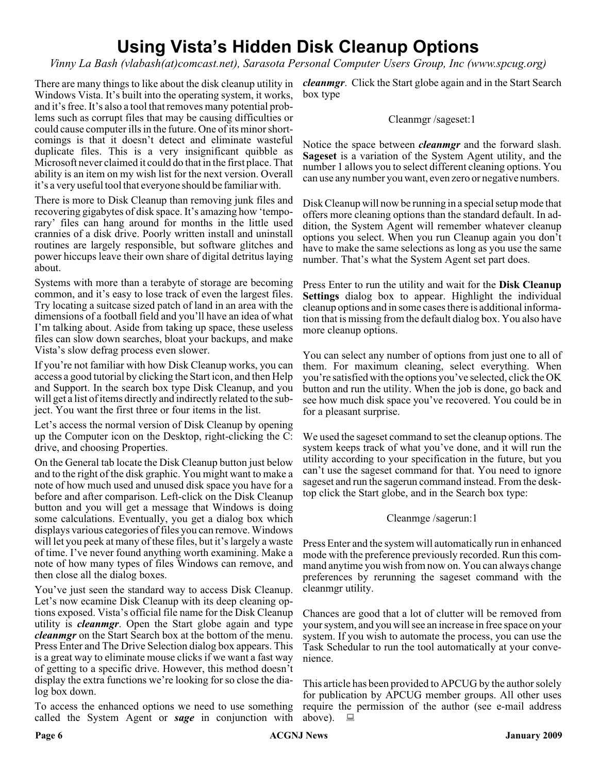## **Using Vista's Hidden Disk Cleanup Options**

*Vinny La Bash (vlabash(at)comcast.net), Sarasota Personal Computer Users Group, Inc (www.spcug.org)*

Windows Vista. It's built into the operating system, it works, and it's free. It's also a tool that removes many potential problems such as corrupt files that may be causing difficulties or could cause computer ills in the future. One of its minor shortcomings is that it doesn't detect and eliminate wasteful duplicate files. This is a very insignificant quibble as Microsoft never claimed it could do that in the first place. That ability is an item on my wish list for the next version. Overall it's a very useful tool that everyone should be familiar with.

There is more to Disk Cleanup than removing junk files and recovering gigabytes of disk space. It's amazing how 'temporary' files can hang around for months in the little used crannies of a disk drive. Poorly written install and uninstall routines are largely responsible, but software glitches and power hiccups leave their own share of digital detritus laying about.

Systems with more than a terabyte of storage are becoming common, and it's easy to lose track of even the largest files. Try locating a suitcase sized patch of land in an area with the dimensions of a football field and you'll have an idea of what I'm talking about. Aside from taking up space, these useless files can slow down searches, bloat your backups, and make Vista's slow defrag process even slower.

If you're not familiar with how Disk Cleanup works, you can access a good tutorial by clicking the Start icon, and then Help and Support. In the search box type Disk Cleanup, and you will get a list of items directly and indirectly related to the subject. You want the first three or four items in the list.

Let's access the normal version of Disk Cleanup by opening up the Computer icon on the Desktop, right-clicking the C: drive, and choosing Properties.

On the General tab locate the Disk Cleanup button just below and to the right of the disk graphic. You might want to make a note of how much used and unused disk space you have for a before and after comparison. Left-click on the Disk Cleanup button and you will get a message that Windows is doing some calculations. Eventually, you get a dialog box which displays various categories of files you can remove. Windows will let you peek at many of these files, but it's largely a waste of time. I've never found anything worth examining. Make a note of how many types of files Windows can remove, and then close all the dialog boxes.

You've just seen the standard way to access Disk Cleanup. Let's now ecamine Disk Cleanup with its deep cleaning options exposed. Vista's official file name for the Disk Cleanup utility is *cleanmgr*. Open the Start globe again and type *cleanmgr* on the Start Search box at the bottom of the menu. Press Enter and The Drive Selection dialog box appears. This is a great way to eliminate mouse clicks if we want a fast way of getting to a specific drive. However, this method doesn't display the extra functions we're looking for so close the dialog box down.

To access the enhanced options we need to use something called the System Agent or *sage* in conjunction with

There are many things to like about the disk cleanup utility in *cleanmgr*. Click the Start globe again and in the Start Search box type

#### Cleanmgr /sageset:1

Notice the space between *cleanmgr* and the forward slash. **Sageset** is a variation of the System Agent utility, and the number 1 allows you to select different cleaning options. You can use any number you want, even zero or negative numbers.

Disk Cleanup will now be running in a special setup mode that offers more cleaning options than the standard default. In addition, the System Agent will remember whatever cleanup options you select. When you run Cleanup again you don't have to make the same selections as long as you use the same number. That's what the System Agent set part does.

Press Enter to run the utility and wait for the **Disk Cleanup Settings** dialog box to appear. Highlight the individual cleanup options and in some cases there is additional information that is missing from the default dialog box. You also have more cleanup options.

You can select any number of options from just one to all of them. For maximum cleaning, select everything. When you're satisfied with the options you've selected, click the OK button and run the utility. When the job is done, go back and see how much disk space you've recovered. You could be in for a pleasant surprise.

We used the sageset command to set the cleanup options. The system keeps track of what you've done, and it will run the utility according to your specification in the future, but you can't use the sageset command for that. You need to ignore sageset and run the sagerun command instead. From the desktop click the Start globe, and in the Search box type:

#### Cleanmge /sagerun:1

Press Enter and the system will automatically run in enhanced mode with the preference previously recorded. Run this command anytime you wish from now on. You can always change preferences by rerunning the sageset command with the cleanmgr utility.

Chances are good that a lot of clutter will be removed from your system, and you will see an increase in free space on your system. If you wish to automate the process, you can use the Task Schedular to run the tool automatically at your convenience.

This article has been provided to APCUG by the author solely for publication by APCUG member groups. All other uses require the permission of the author (see e-mail address above).  $\Box$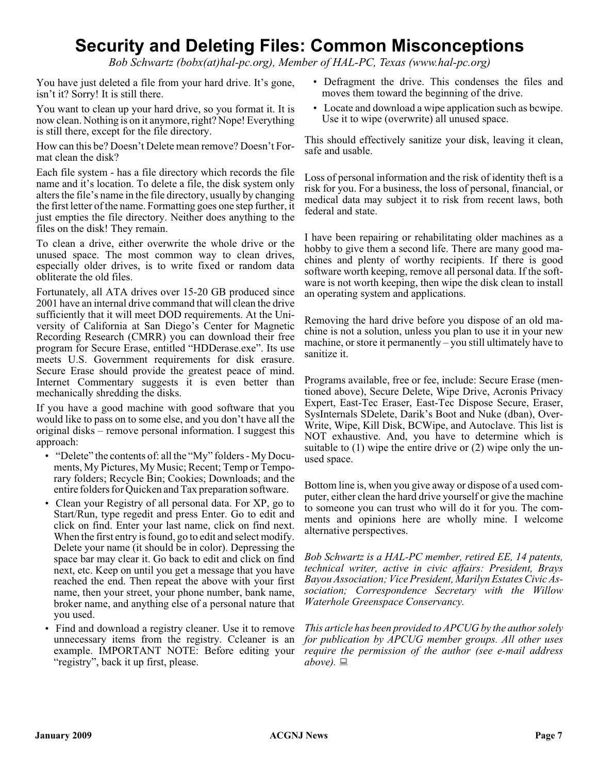## **Security and Deleting Files: Common Misconceptions**

*Bob Schwartz (bobx(at)hal-pc.org), Member of HAL-PC, Texas (www.hal-pc.org)*

You have just deleted a file from your hard drive. It's gone, isn't it? Sorry! It is still there.

You want to clean up your hard drive, so you format it. It is now clean. Nothing is on it anymore, right? Nope! Everything is still there, except for the file directory.

How can this be? Doesn't Delete mean remove? Doesn't Format clean the disk?

Each file system - has a file directory which records the file name and it's location. To delete a file, the disk system only alters the file's name in the file directory, usually by changing the first letter of the name. Formatting goes one step further, it just empties the file directory. Neither does anything to the files on the disk! They remain.

To clean a drive, either overwrite the whole drive or the unused space. The most common way to clean drives, especially older drives, is to write fixed or random data obliterate the old files.

Fortunately, all ATA drives over 15-20 GB produced since 2001 have an internal drive command that will clean the drive sufficiently that it will meet DOD requirements. At the University of California at San Diego's Center for Magnetic Recording Research (CMRR) you can download their free program for Secure Erase, entitled "HDDerase.exe". Its use meets U.S. Government requirements for disk erasure. Secure Erase should provide the greatest peace of mind. Internet Commentary suggests it is even better than mechanically shredding the disks.

If you have a good machine with good software that you would like to pass on to some else, and you don't have all the original disks – remove personal information. I suggest this approach:

- "Delete" the contents of: all the "My" folders My Documents, My Pictures, My Music; Recent; Temp or Temporary folders; Recycle Bin; Cookies; Downloads; and the entire folders for Quicken and Tax preparation software.
- Clean your Registry of all personal data. For XP, go to Start/Run, type regedit and press Enter. Go to edit and click on find. Enter your last name, click on find next. When the first entry is found, go to edit and select modify. Delete your name (it should be in color). Depressing the space bar may clear it. Go back to edit and click on find next, etc. Keep on until you get a message that you have reached the end. Then repeat the above with your first name, then your street, your phone number, bank name, broker name, and anything else of a personal nature that you used.
- Find and download a registry cleaner. Use it to remove unnecessary items from the registry. Ccleaner is an example. IMPORTANT NOTE: Before editing your "registry", back it up first, please.
- Defragment the drive. This condenses the files and moves them toward the beginning of the drive.
- Locate and download a wipe application such as bcwipe. Use it to wipe (overwrite) all unused space.

This should effectively sanitize your disk, leaving it clean, safe and usable.

Loss of personal information and the risk of identity theft is a risk for you. For a business, the loss of personal, financial, or medical data may subject it to risk from recent laws, both federal and state.

I have been repairing or rehabilitating older machines as a hobby to give them a second life. There are many good machines and plenty of worthy recipients. If there is good software worth keeping, remove all personal data. If the software is not worth keeping, then wipe the disk clean to install an operating system and applications.

Removing the hard drive before you dispose of an old machine is not a solution, unless you plan to use it in your new machine, or store it permanently – you still ultimately have to sanitize it.

Programs available, free or fee, include: Secure Erase (mentioned above), Secure Delete, Wipe Drive, Acronis Privacy Expert, East-Tec Eraser, East-Tec Dispose Secure, Eraser, SysInternals SDelete, Darik's Boot and Nuke (dban), Over-Write, Wipe, Kill Disk, BCWipe, and Autoclave. This list is NOT exhaustive. And, you have to determine which is suitable to (1) wipe the entire drive or (2) wipe only the unused space.

Bottom line is, when you give away or dispose of a used computer, either clean the hard drive yourself or give the machine to someone you can trust who will do it for you. The comments and opinions here are wholly mine. I welcome alternative perspectives.

*Bob Schwartz is a HAL-PC member, retired EE, 14 patents, technical writer, active in civic affairs: President, Brays Bayou Association; Vice President, Marilyn Estates Civic Association; Correspondence Secretary with the Willow Waterhole Greenspace Conservancy.*

*This article has been provided to APCUG by the author solely for publication by APCUG member groups. All other uses require the permission of the author (see e-mail address above).*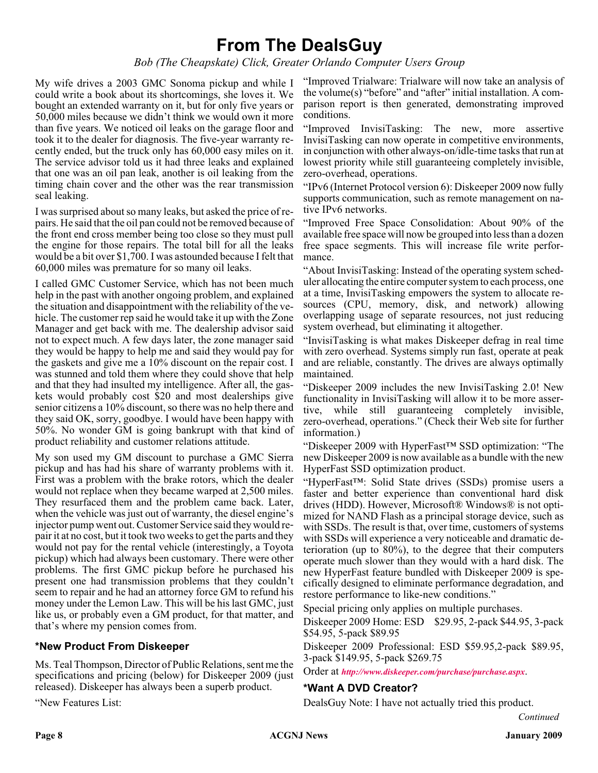## **From The DealsGuy**

*Bob (The Cheapskate) Click, Greater Orlando Computer Users Group*

My wife drives a 2003 GMC Sonoma pickup and while I could write a book about its shortcomings, she loves it. We bought an extended warranty on it, but for only five years or 50,000 miles because we didn't think we would own it more than five years. We noticed oil leaks on the garage floor and took it to the dealer for diagnosis. The five-year warranty recently ended, but the truck only has 60,000 easy miles on it. The service advisor told us it had three leaks and explained that one was an oil pan leak, another is oil leaking from the timing chain cover and the other was the rear transmission seal leaking.

I was surprised about so many leaks, but asked the price of repairs. He said that the oil pan could not be removed because of the front end cross member being too close so they must pull the engine for those repairs. The total bill for all the leaks would be a bit over \$1,700. I was astounded because I felt that 60,000 miles was premature for so many oil leaks.

I called GMC Customer Service, which has not been much help in the past with another ongoing problem, and explained the situation and disappointment with the reliability of the vehicle. The customer rep said he would take it up with the Zone Manager and get back with me. The dealership advisor said not to expect much. A few days later, the zone manager said they would be happy to help me and said they would pay for the gaskets and give me a 10% discount on the repair cost. I was stunned and told them where they could shove that help and that they had insulted my intelligence. After all, the gaskets would probably cost \$20 and most dealerships give senior citizens a 10% discount, so there was no help there and they said OK, sorry, goodbye. I would have been happy with 50%. No wonder GM is going bankrupt with that kind of product reliability and customer relations attitude.

My son used my GM discount to purchase a GMC Sierra pickup and has had his share of warranty problems with it. First was a problem with the brake rotors, which the dealer would not replace when they became warped at 2,500 miles. They resurfaced them and the problem came back. Later, when the vehicle was just out of warranty, the diesel engine's injector pump went out. Customer Service said they would repair it at no cost, but it took two weeks to get the parts and they would not pay for the rental vehicle (interestingly, a Toyota pickup) which had always been customary. There were other problems. The first GMC pickup before he purchased his present one had transmission problems that they couldn't seem to repair and he had an attorney force GM to refund his money under the Lemon Law. This will be his last GMC, just like us, or probably even a GM product, for that matter, and that's where my pension comes from.

#### **\*New Product From Diskeeper**

Ms. Teal Thompson, Director of Public Relations, sent me the specifications and pricing (below) for Diskeeper 2009 (just released). Diskeeper has always been a superb product.

"New Features List:

"Improved Trialware: Trialware will now take an analysis of the volume(s) "before" and "after" initial installation. A comparison report is then generated, demonstrating improved conditions.

"Improved InvisiTasking: The new, more assertive InvisiTasking can now operate in competitive environments, in conjunction with other always-on/idle-time tasks that run at lowest priority while still guaranteeing completely invisible, zero-overhead, operations.

"IPv6 (Internet Protocol version 6): Diskeeper 2009 now fully supports communication, such as remote management on native IPv6 networks.

"Improved Free Space Consolidation: About 90% of the available free space will now be grouped into less than a dozen free space segments. This will increase file write performance.

"About InvisiTasking: Instead of the operating system scheduler allocating the entire computer system to each process, one at a time, InvisiTasking empowers the system to allocate resources (CPU, memory, disk, and network) allowing overlapping usage of separate resources, not just reducing system overhead, but eliminating it altogether.

"InvisiTasking is what makes Diskeeper defrag in real time with zero overhead. Systems simply run fast, operate at peak and are reliable, constantly. The drives are always optimally maintained.

"Diskeeper 2009 includes the new InvisiTasking 2.0! New functionality in InvisiTasking will allow it to be more assertive, while still guaranteeing completely invisible, zero-overhead, operations." (Check their Web site for further information.)

"Diskeeper 2009 with HyperFast™ SSD optimization: "The new Diskeeper 2009 is now available as a bundle with the new HyperFast SSD optimization product.

"HyperFast™: Solid State drives (SSDs) promise users a faster and better experience than conventional hard disk drives (HDD). However, Microsoft® Windows® is not optimized for NAND Flash as a principal storage device, such as with SSDs. The result is that, over time, customers of systems with SSDs will experience a very noticeable and dramatic deterioration (up to 80%), to the degree that their computers operate much slower than they would with a hard disk. The new HyperFast feature bundled with Diskeeper 2009 is specifically designed to eliminate performance degradation, and restore performance to like-new conditions."

Special pricing only applies on multiple purchases.

Diskeeper 2009 Home: ESD \$29.95, 2-pack \$44.95, 3-pack \$54.95, 5-pack \$89.95

Diskeeper 2009 Professional: ESD \$59.95,2-pack \$89.95, 3-pack \$149.95, 5-pack \$269.75

Order at *<http://www.diskeeper.com/purchase/purchase.aspx>*.

#### **\*Want A DVD Creator?**

DealsGuy Note: I have not actually tried this product.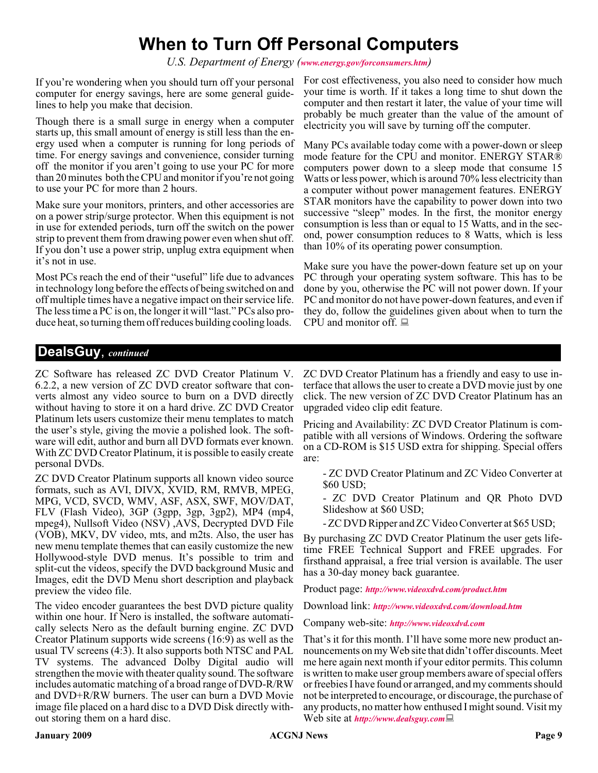## **When to Turn Off Personal Computers**

*U.S. Department of Energy ([www.energy.gov/forconsumers.htm](http://www.energy.gov/forconsumers.htm))*

If you're wondering when you should turn off your personal computer for energy savings, here are some general guidelines to help you make that decision.

Though there is a small surge in energy when a computer starts up, this small amount of energy is still less than the energy used when a computer is running for long periods of time. For energy savings and convenience, consider turning off the monitor if you aren't going to use your PC for more than 20 minutes both the CPU and monitor if you're not going to use your PC for more than 2 hours.

Make sure your monitors, printers, and other accessories are on a power strip/surge protector. When this equipment is not in use for extended periods, turn off the switch on the power strip to prevent them from drawing power even when shut off. If you don't use a power strip, unplug extra equipment when it's not in use.

Most PCs reach the end of their "useful" life due to advances in technology long before the effects of being switched on and off multiple times have a negative impact on their service life. The less time a PC is on, the longer it will "last." PCs also produce heat, so turning them off reduces building cooling loads.

For cost effectiveness, you also need to consider how much your time is worth. If it takes a long time to shut down the computer and then restart it later, the value of your time will probably be much greater than the value of the amount of electricity you will save by turning off the computer.

Many PCs available today come with a power-down or sleep mode feature for the CPU and monitor. ENERGY STAR® computers power down to a sleep mode that consume 15 Watts or less power, which is around 70% less electricity than a computer without power management features. ENERGY STAR monitors have the capability to power down into two successive "sleep" modes. In the first, the monitor energy consumption is less than or equal to 15 Watts, and in the second, power consumption reduces to 8 Watts, which is less than 10% of its operating power consumption.

Make sure you have the power-down feature set up on your PC through your operating system software. This has to be done by you, otherwise the PC will not power down. If your PC and monitor do not have power-down features, and even if they do, follow the guidelines given about when to turn the CPU and monitor off.

#### **DealsGuy**, *continued*

ZC Software has released ZC DVD Creator Platinum V. 6.2.2, a new version of ZC DVD creator software that converts almost any video source to burn on a DVD directly without having to store it on a hard drive. ZC DVD Creator Platinum lets users customize their menu templates to match the user's style, giving the movie a polished look. The software will edit, author and burn all DVD formats ever known. With ZC DVD Creator Platinum, it is possible to easily create personal DVDs.

ZC DVD Creator Platinum supports all known video source formats, such as AVI, DIVX, XVID, RM, RMVB, MPEG, MPG, VCD, SVCD, WMV, ASF, ASX, SWF, MOV/DAT, FLV (Flash Video), 3GP (3gpp, 3gp, 3gp2), MP4 (mp4, mpeg4), Nullsoft Video (NSV) ,AVS, Decrypted DVD File (VOB), MKV, DV video, mts, and m2ts. Also, the user has new menu template themes that can easily customize the new Hollywood-style DVD menus. It's possible to trim and split-cut the videos, specify the DVD background Music and Images, edit the DVD Menu short description and playback preview the video file.

The video encoder guarantees the best DVD picture quality within one hour. If Nero is installed, the software automatically selects Nero as the default burning engine. ZC DVD Creator Platinum supports wide screens (16:9) as well as the usual TV screens (4:3). It also supports both NTSC and PAL TV systems. The advanced Dolby Digital audio will strengthen the movie with theater quality sound. The software includes automatic matching of a broad range of DVD-R/RW and DVD+R/RW burners. The user can burn a DVD Movie image file placed on a hard disc to a DVD Disk directly without storing them on a hard disc.

ZC DVD Creator Platinum has a friendly and easy to use interface that allows the user to create a DVD movie just by one click. The new version of ZC DVD Creator Platinum has an upgraded video clip edit feature.

Pricing and Availability: ZC DVD Creator Platinum is compatible with all versions of Windows. Ordering the software on a CD-ROM is \$15 USD extra for shipping. Special offers are:

- ZC DVD Creator Platinum and ZC Video Converter at \$60 USD;

- ZC DVD Creator Platinum and QR Photo DVD Slideshow at \$60 USD;

- ZC DVD Ripper and ZC Video Converter at \$65 USD;

By purchasing ZC DVD Creator Platinum the user gets lifetime FREE Technical Support and FREE upgrades. For firsthand appraisal, a free trial version is available. The user has a 30-day money back guarantee.

Product page: *<http://www.videoxdvd.com/product.htm>*

Download link: *<http://www.videoxdvd.com/download.htm>*

Company web-site: *<http://www.videoxdvd.com>*

That's it for this month. I'll have some more new product announcements on my Web site that didn't offer discounts. Meet me here again next month if your editor permits. This column is written to make user group members aware of special offers or freebies I have found or arranged, and my comments should not be interpreted to encourage, or discourage, the purchase of any products, no matter how enthused I might sound. Visit my Web site at *<http://www.dealsguy.com>*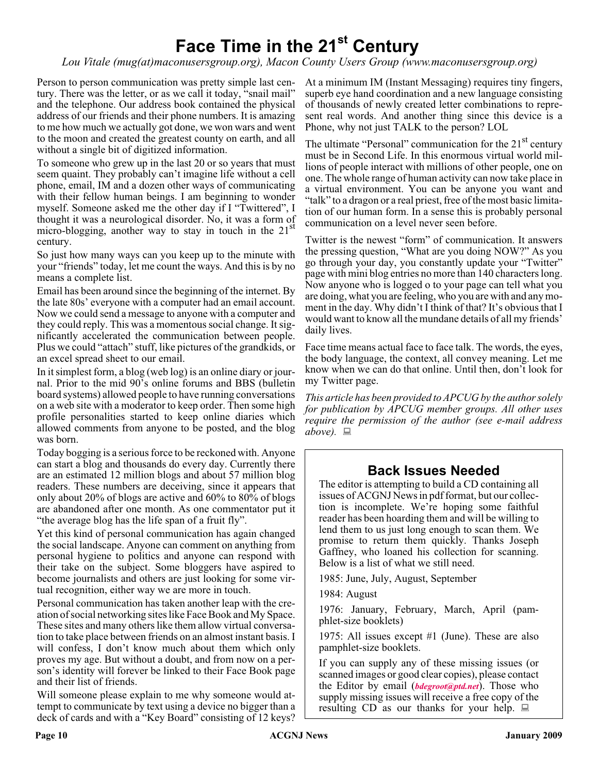# **Face Time in the 21st Century**

*Lou Vitale (mug(at)maconusersgroup.org), Macon County Users Group (www.maconusersgroup.org)*

Person to person communication was pretty simple last century. There was the letter, or as we call it today, "snail mail" and the telephone. Our address book contained the physical address of our friends and their phone numbers. It is amazing to me how much we actually got done, we won wars and went to the moon and created the greatest county on earth, and all without a single bit of digitized information.

To someone who grew up in the last 20 or so years that must seem quaint. They probably can't imagine life without a cell phone, email, IM and a dozen other ways of communicating with their fellow human beings. I am beginning to wonder myself. Someone asked me the other day if I "Twittered", I thought it was a neurological disorder. No, it was a form of micro-blogging, another way to stay in touch in the  $21<sup>st</sup>$ century.

So just how many ways can you keep up to the minute with your "friends" today, let me count the ways. And this is by no means a complete list.

Email has been around since the beginning of the internet. By the late 80s' everyone with a computer had an email account. Now we could send a message to anyone with a computer and they could reply. This was a momentous social change. It significantly accelerated the communication between people. Plus we could "attach" stuff, like pictures of the grandkids, or an excel spread sheet to our email.

In it simplest form, a blog (web log) is an online diary or journal. Prior to the mid 90's online forums and BBS (bulletin board systems) allowed people to have running conversations on a web site with a moderator to keep order. Then some high profile personalities started to keep online diaries which allowed comments from anyone to be posted, and the blog was born.

Today bogging is a serious force to be reckoned with. Anyone can start a blog and thousands do every day. Currently there are an estimated 12 million blogs and about 57 million blog readers. These numbers are deceiving, since it appears that only about 20% of blogs are active and 60% to 80% of blogs are abandoned after one month. As one commentator put it "the average blog has the life span of a fruit fly".

Yet this kind of personal communication has again changed the social landscape. Anyone can comment on anything from personal hygiene to politics and anyone can respond with their take on the subject. Some bloggers have aspired to become journalists and others are just looking for some virtual recognition, either way we are more in touch.

Personal communication has taken another leap with the creation of social networking sites like Face Book and My Space. These sites and many others like them allow virtual conversation to take place between friends on an almost instant basis. I will confess, I don't know much about them which only proves my age. But without a doubt, and from now on a person's identity will forever be linked to their Face Book page and their list of friends.

Will someone please explain to me why someone would attempt to communicate by text using a device no bigger than a deck of cards and with a "Key Board" consisting of 12 keys?

At a minimum IM (Instant Messaging) requires tiny fingers, superb eye hand coordination and a new language consisting of thousands of newly created letter combinations to represent real words. And another thing since this device is a Phone, why not just TALK to the person? LOL

The ultimate "Personal" communication for the  $21<sup>st</sup>$  century must be in Second Life. In this enormous virtual world millions of people interact with millions of other people, one on one. The whole range of human activity can now take place in a virtual environment. You can be anyone you want and "talk" to a dragon or a real priest, free of the most basic limitation of our human form. In a sense this is probably personal communication on a level never seen before.

Twitter is the newest "form" of communication. It answers the pressing question, "What are you doing NOW?" As you go through your day, you constantly update your "Twitter" page with mini blog entries no more than 140 characters long. Now anyone who is logged o to your page can tell what you are doing, what you are feeling, who you are with and any moment in the day. Why didn't I think of that? It's obvious that I would want to know all the mundane details of all my friends' daily lives.

Face time means actual face to face talk. The words, the eyes, the body language, the context, all convey meaning. Let me know when we can do that online. Until then, don't look for my Twitter page.

*This article has been provided to APCUG by the author solely for publication by APCUG member groups. All other uses require the permission of the author (see e-mail address above).*

## **Back Issues Needed**

The editor is attempting to build a CD containing all issues of ACGNJ News in pdf format, but our collection is incomplete. We're hoping some faithful reader has been hoarding them and will be willing to lend them to us just long enough to scan them. We promise to return them quickly. Thanks Joseph Gaffney, who loaned his collection for scanning. Below is a list of what we still need.

1985: June, July, August, September

1984: August

1976: January, February, March, April (pamphlet-size booklets)

1975: All issues except #1 (June). These are also pamphlet-size booklets.

If you can supply any of these missing issues (or scanned images or good clear copies), please contact the Editor by email (*[bdegroot@ptd.net](mailto:bdegroot@ptd.net)*). Those who supply missing issues will receive a free copy of the resulting CD as our thanks for your help.  $\Box$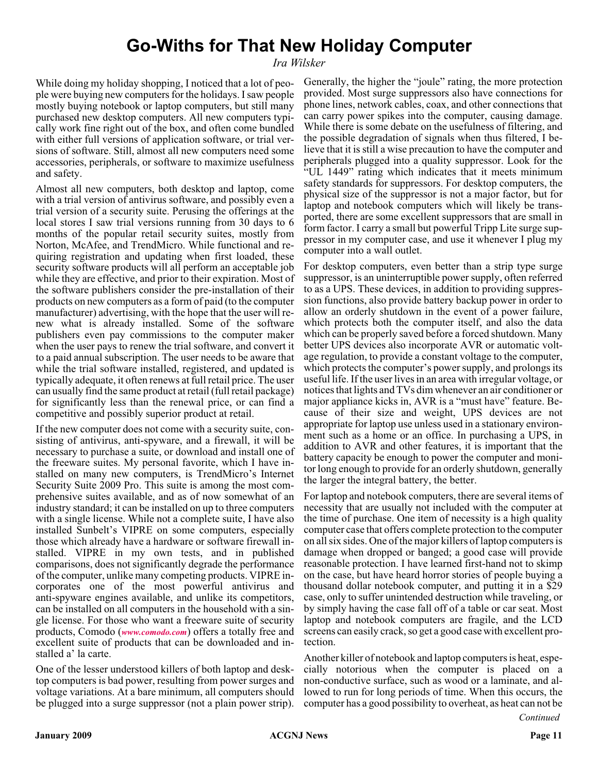## **Go-Withs for That New Holiday Computer**

#### *Ira Wilsker*

While doing my holiday shopping, I noticed that a lot of people were buying new computers for the holidays. I saw people mostly buying notebook or laptop computers, but still many purchased new desktop computers. All new computers typically work fine right out of the box, and often come bundled with either full versions of application software, or trial versions of software. Still, almost all new computers need some accessories, peripherals, or software to maximize usefulness and safety.

Almost all new computers, both desktop and laptop, come with a trial version of antivirus software, and possibly even a trial version of a security suite. Perusing the offerings at the local stores I saw trial versions running from 30 days to 6 months of the popular retail security suites, mostly from Norton, McAfee, and TrendMicro. While functional and requiring registration and updating when first loaded, these security software products will all perform an acceptable job while they are effective, and prior to their expiration. Most of the software publishers consider the pre-installation of their products on new computers as a form of paid (to the computer manufacturer) advertising, with the hope that the user will renew what is already installed. Some of the software publishers even pay commissions to the computer maker when the user pays to renew the trial software, and convert it to a paid annual subscription. The user needs to be aware that while the trial software installed, registered, and updated is typically adequate, it often renews at full retail price. The user can usually find the same product at retail (full retail package) for significantly less than the renewal price, or can find a competitive and possibly superior product at retail.

If the new computer does not come with a security suite, consisting of antivirus, anti-spyware, and a firewall, it will be necessary to purchase a suite, or download and install one of the freeware suites. My personal favorite, which I have installed on many new computers, is TrendMicro's Internet Security Suite 2009 Pro. This suite is among the most comprehensive suites available, and as of now somewhat of an industry standard; it can be installed on up to three computers with a single license. While not a complete suite, I have also installed Sunbelt's VIPRE on some computers, especially those which already have a hardware or software firewall installed. VIPRE in my own tests, and in published comparisons, does not significantly degrade the performance of the computer, unlike many competing products. VIPRE incorporates one of the most powerful antivirus and anti-spyware engines available, and unlike its competitors, can be installed on all computers in the household with a single license. For those who want a freeware suite of security products, Comodo (*[www.comodo.com](http://www.comodo.com)*) offers a totally free and excellent suite of products that can be downloaded and installed a' la carte.

One of the lesser understood killers of both laptop and desktop computers is bad power, resulting from power surges and voltage variations. At a bare minimum, all computers should be plugged into a surge suppressor (not a plain power strip). Generally, the higher the "joule" rating, the more protection provided. Most surge suppressors also have connections for phone lines, network cables, coax, and other connections that can carry power spikes into the computer, causing damage. While there is some debate on the usefulness of filtering, and the possible degradation of signals when thus filtered, I believe that it is still a wise precaution to have the computer and peripherals plugged into a quality suppressor. Look for the "UL 1449" rating which indicates that it meets minimum safety standards for suppressors. For desktop computers, the physical size of the suppressor is not a major factor, but for laptop and notebook computers which will likely be transported, there are some excellent suppressors that are small in form factor. I carry a small but powerful Tripp Lite surge suppressor in my computer case, and use it whenever I plug my computer into a wall outlet.

For desktop computers, even better than a strip type surge suppressor, is an uninterruptible power supply, often referred to as a UPS. These devices, in addition to providing suppression functions, also provide battery backup power in order to allow an orderly shutdown in the event of a power failure, which protects both the computer itself, and also the data which can be properly saved before a forced shutdown. Many better UPS devices also incorporate AVR or automatic voltage regulation, to provide a constant voltage to the computer, which protects the computer's power supply, and prolongs its useful life. If the user lives in an area with irregular voltage, or notices that lights and TVs dim whenever an air conditioner or major appliance kicks in, AVR is a "must have" feature. Because of their size and weight, UPS devices are not appropriate for laptop use unless used in a stationary environment such as a home or an office. In purchasing a UPS, in addition to AVR and other features, it is important that the battery capacity be enough to power the computer and monitor long enough to provide for an orderly shutdown, generally the larger the integral battery, the better.

For laptop and notebook computers, there are several items of necessity that are usually not included with the computer at the time of purchase. One item of necessity is a high quality computer case that offers complete protection to the computer on all six sides. One of the major killers of laptop computers is damage when dropped or banged; a good case will provide reasonable protection. I have learned first-hand not to skimp on the case, but have heard horror stories of people buying a thousand dollar notebook computer, and putting it in a \$29 case, only to suffer unintended destruction while traveling, or by simply having the case fall off of a table or car seat. Most laptop and notebook computers are fragile, and the LCD screens can easily crack, so get a good case with excellent protection.

Another killer of notebook and laptop computers is heat, especially notorious when the computer is placed on a non-conductive surface, such as wood or a laminate, and allowed to run for long periods of time. When this occurs, the computer has a good possibility to overheat, as heat can not be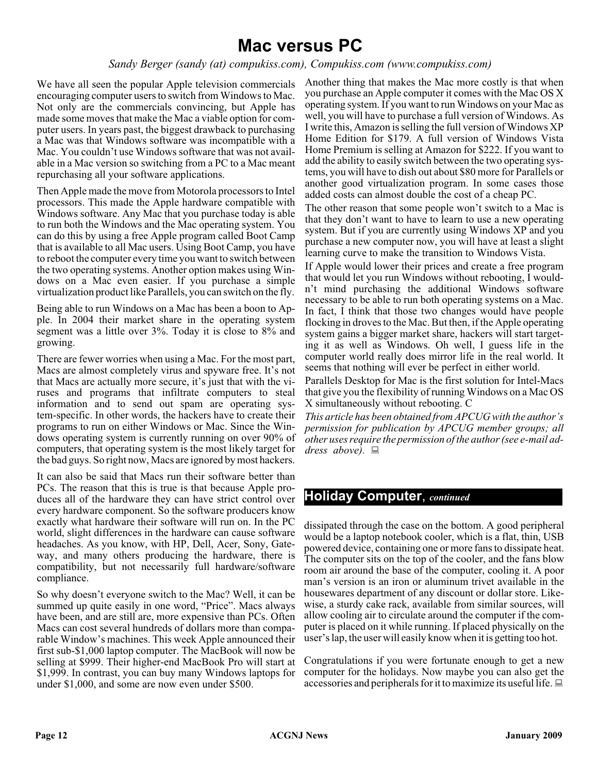## **Mac versus PC**

*Sandy Berger (sandy (at) compukiss.com), Compukiss.com (www.compukiss.com)*

We have all seen the popular Apple television commercials encouraging computer users to switch from Windows to Mac. Not only are the commercials convincing, but Apple has made some moves that make the Mac a viable option for computer users. In years past, the biggest drawback to purchasing a Mac was that Windows software was incompatible with a Mac. You couldn't use Windows software that was not available in a Mac version so switching from a PC to a Mac meant repurchasing all your software applications.

Then Apple made the move from Motorola processors to Intel processors. This made the Apple hardware compatible with Windows software. Any Mac that you purchase today is able to run both the Windows and the Mac operating system. You can do this by using a free Apple program called Boot Camp that is available to all Mac users. Using Boot Camp, you have to reboot the computer every time you want to switch between the two operating systems. Another option makes using Windows on a Mac even easier. If you purchase a simple virtualization product like Parallels, you can switch on the fly.

Being able to run Windows on a Mac has been a boon to Apple. In 2004 their market share in the operating system segment was a little over 3%. Today it is close to 8% and growing.

There are fewer worries when using a Mac. For the most part, Macs are almost completely virus and spyware free. It's not that Macs are actually more secure, it's just that with the viruses and programs that infiltrate computers to steal information and to send out spam are operating system-specific. In other words, the hackers have to create their programs to run on either Windows or Mac. Since the Windows operating system is currently running on over 90% of computers, that operating system is the most likely target for the bad guys. So right now, Macs are ignored by most hackers.

It can also be said that Macs run their software better than PCs. The reason that this is true is that because Apple produces all of the hardware they can have strict control over every hardware component. So the software producers know exactly what hardware their software will run on. In the PC world, slight differences in the hardware can cause software headaches. As you know, with HP, Dell, Acer, Sony, Gateway, and many others producing the hardware, there is compatibility, but not necessarily full hardware/software compliance.

So why doesn't everyone switch to the Mac? Well, it can be summed up quite easily in one word, "Price". Macs always have been, and are still are, more expensive than PCs. Often Macs can cost several hundreds of dollars more than comparable Window's machines. This week Apple announced their first sub-\$1,000 laptop computer. The MacBook will now be selling at \$999. Their higher-end MacBook Pro will start at \$1,999. In contrast, you can buy many Windows laptops for under \$1,000, and some are now even under \$500.

Another thing that makes the Mac more costly is that when you purchase an Apple computer it comes with the Mac OS X operating system. If you want to run Windows on your Mac as well, you will have to purchase a full version of Windows. As I write this, Amazon is selling the full version of Windows XP Home Edition for \$179. A full version of Windows Vista Home Premium is selling at Amazon for \$222. If you want to add the ability to easily switch between the two operating systems, you will have to dish out about \$80 more for Parallels or another good virtualization program. In some cases those added costs can almost double the cost of a cheap PC.

The other reason that some people won't switch to a Mac is that they don't want to have to learn to use a new operating system. But if you are currently using Windows XP and you purchase a new computer now, you will have at least a slight learning curve to make the transition to Windows Vista.

If Apple would lower their prices and create a free program that would let you run Windows without rebooting, I wouldn't mind purchasing the additional Windows software necessary to be able to run both operating systems on a Mac. In fact, I think that those two changes would have people flocking in droves to the Mac. But then, if the Apple operating system gains a bigger market share, hackers will start targeting it as well as Windows. Oh well, I guess life in the computer world really does mirror life in the real world. It seems that nothing will ever be perfect in either world.

Parallels Desktop for Mac is the first solution for Intel-Macs that give you the flexibility of running Windows on a Mac OS X simultaneously without rebooting. C

*This article has been obtained from APCUG with the author's permission for publication by APCUG member groups; all other uses require the permission of the author (see e-mail address above).*

#### **Holiday Computer**, *continued*

dissipated through the case on the bottom. A good peripheral would be a laptop notebook cooler, which is a flat, thin, USB powered device, containing one or more fans to dissipate heat. The computer sits on the top of the cooler, and the fans blow room air around the base of the computer, cooling it. A poor man's version is an iron or aluminum trivet available in the housewares department of any discount or dollar store. Likewise, a sturdy cake rack, available from similar sources, will allow cooling air to circulate around the computer if the computer is placed on it while running. If placed physically on the user's lap, the user will easily know when it is getting too hot.

Congratulations if you were fortunate enough to get a new computer for the holidays. Now maybe you can also get the accessories and peripherals for it to maximize its useful life.  $\Box$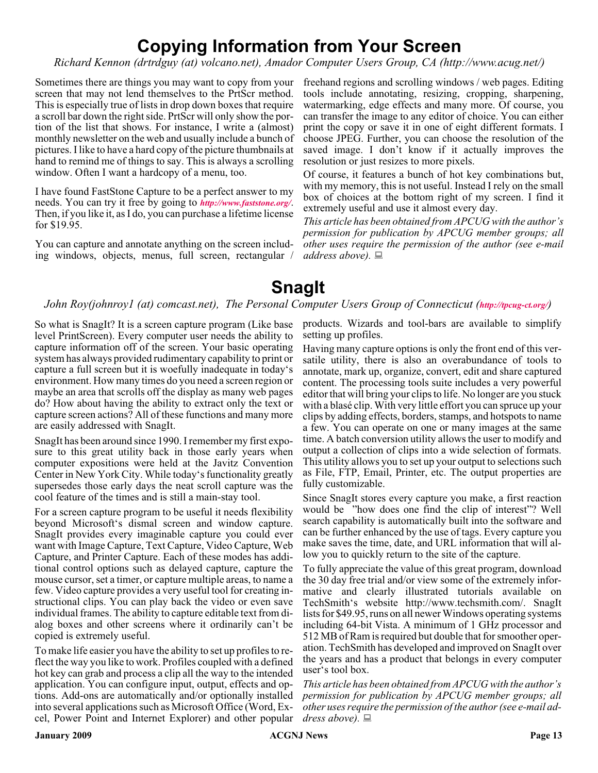## **Copying Information from Your Screen**

*Richard Kennon (drtrdguy (at) volcano.net), Amador Computer Users Group, CA (http://www.acug.net/)*

Sometimes there are things you may want to copy from your freehand regions and scrolling windows / web pages. Editing screen that may not lend themselves to the PrtScr method. This is especially true of lists in drop down boxes that require a scroll bar down the right side. PrtScr will only show the portion of the list that shows. For instance, I write a (almost) monthly newsletter on the web and usually include a bunch of pictures. I like to have a hard copy of the picture thumbnails at hand to remind me of things to say. This is always a scrolling window. Often I want a hardcopy of a menu, too.

I have found FastStone Capture to be a perfect answer to my needs. You can try it free by going to *<http://www.faststone.org/>*. Then, if you like it, as I do, you can purchase a lifetime license for \$19.95.

You can capture and annotate anything on the screen including windows, objects, menus, full screen, rectangular /

tools include annotating, resizing, cropping, sharpening, watermarking, edge effects and many more. Of course, you can transfer the image to any editor of choice. You can either print the copy or save it in one of eight different formats. I choose JPEG. Further, you can choose the resolution of the saved image. I don't know if it actually improves the resolution or just resizes to more pixels.

Of course, it features a bunch of hot key combinations but, with my memory, this is not useful. Instead I rely on the small box of choices at the bottom right of my screen. I find it extremely useful and use it almost every day.

*This article has been obtained from APCUG with the author's permission for publication by APCUG member groups; all other uses require the permission of the author (see e-mail address above).*

## **SnagIt**

#### *John Roy(johnroy1 (at) comcast.net), The Personal Computer Users Group of Connecticut (<http://tpcug-ct.org/>)*

So what is SnagIt? It is a screen capture program (Like base level PrintScreen). Every computer user needs the ability to capture information off of the screen. Your basic operating system has always provided rudimentary capability to print or capture a full screen but it is woefully inadequate in today's environment. How many times do you need a screen region or maybe an area that scrolls off the display as many web pages do? How about having the ability to extract only the text or capture screen actions? All of these functions and many more are easily addressed with SnagIt.

SnagIt has been around since 1990. I remember my first exposure to this great utility back in those early years when computer expositions were held at the Javitz Convention Center in New York City. While today's functionality greatly supersedes those early days the neat scroll capture was the cool feature of the times and is still a main-stay tool.

For a screen capture program to be useful it needs flexibility beyond Microsoft's dismal screen and window capture. SnagIt provides every imaginable capture you could ever want with Image Capture, Text Capture, Video Capture, Web Capture, and Printer Capture. Each of these modes has additional control options such as delayed capture, capture the mouse cursor, set a timer, or capture multiple areas, to name a few. Video capture provides a very useful tool for creating instructional clips. You can play back the video or even save individual frames. The ability to capture editable text from dialog boxes and other screens where it ordinarily can't be copied is extremely useful.

To make life easier you have the ability to set up profiles to reflect the way you like to work. Profiles coupled with a defined hot key can grab and process a clip all the way to the intended application. You can configure input, output, effects and options. Add-ons are automatically and/or optionally installed into several applications such as Microsoft Office (Word, Excel, Power Point and Internet Explorer) and other popular

products. Wizards and tool-bars are available to simplify setting up profiles.

Having many capture options is only the front end of this versatile utility, there is also an overabundance of tools to annotate, mark up, organize, convert, edit and share captured content. The processing tools suite includes a very powerful editor that will bring your clips to life. No longer are you stuck with a blasé clip. With very little effort you can spruce up your clips by adding effects, borders, stamps, and hotspots to name a few. You can operate on one or many images at the same time. A batch conversion utility allows the user to modify and output a collection of clips into a wide selection of formats. This utility allows you to set up your output to selections such as File, FTP, Email, Printer, etc. The output properties are fully customizable.

Since SnagIt stores every capture you make, a first reaction would be "how does one find the clip of interest"? Well search capability is automatically built into the software and can be further enhanced by the use of tags. Every capture you make saves the time, date, and URL information that will allow you to quickly return to the site of the capture.

To fully appreciate the value of this great program, download the 30 day free trial and/or view some of the extremely informative and clearly illustrated tutorials available on TechSmith's website http://www.techsmith.com/. SnagIt lists for \$49.95, runs on all newer Windows operating systems including 64-bit Vista. A minimum of 1 GHz processor and 512 MB of Ram is required but double that for smoother operation. TechSmith has developed and improved on SnagIt over the years and has a product that belongs in every computer user's tool box.

*This article has been obtained from APCUG with the author's permission for publication by APCUG member groups; all other uses require the permission of the author (see e-mail address above).*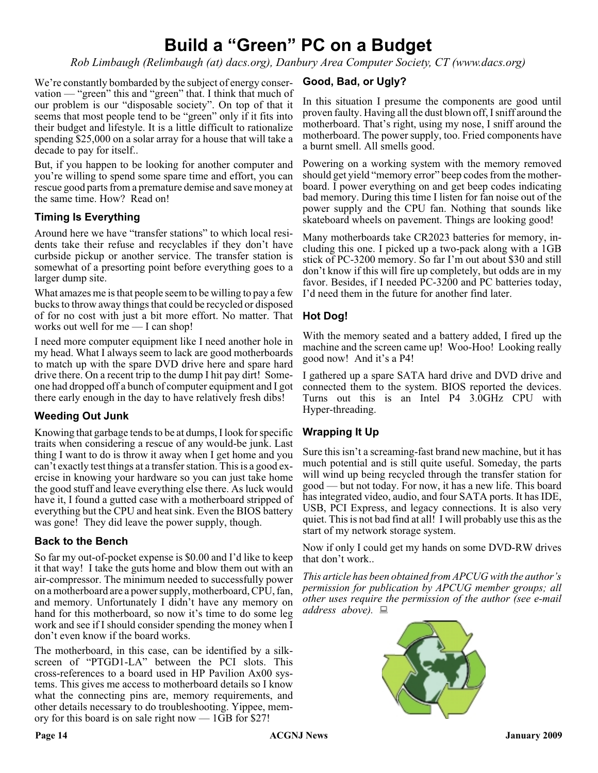## **Build a "Green" PC on a Budget**

*Rob Limbaugh (Relimbaugh (at) dacs.org), Danbury Area Computer Society, CT (www.dacs.org)*

We're constantly bombarded by the subject of energy conservation — "green" this and "green" that. I think that much of our problem is our "disposable society". On top of that it seems that most people tend to be "green" only if it fits into their budget and lifestyle. It is a little difficult to rationalize spending \$25,000 on a solar array for a house that will take a decade to pay for itself..

But, if you happen to be looking for another computer and you're willing to spend some spare time and effort, you can rescue good parts from a premature demise and save money at the same time. How? Read on!

#### **Timing Is Everything**

Around here we have "transfer stations" to which local residents take their refuse and recyclables if they don't have curbside pickup or another service. The transfer station is somewhat of a presorting point before everything goes to a larger dump site.

What amazes me is that people seem to be willing to pay a few bucks to throw away things that could be recycled or disposed of for no cost with just a bit more effort. No matter. That works out well for me — I can shop!

I need more computer equipment like I need another hole in my head. What I always seem to lack are good motherboards to match up with the spare DVD drive here and spare hard drive there. On a recent trip to the dump I hit pay dirt! Someone had dropped off a bunch of computer equipment and I got there early enough in the day to have relatively fresh dibs!

#### **Weeding Out Junk**

Knowing that garbage tends to be at dumps, I look for specific traits when considering a rescue of any would-be junk. Last thing I want to do is throw it away when I get home and you can't exactly test things at a transfer station. This is a good exercise in knowing your hardware so you can just take home the good stuff and leave everything else there. As luck would have it, I found a gutted case with a motherboard stripped of everything but the CPU and heat sink. Even the BIOS battery was gone! They did leave the power supply, though.

#### **Back to the Bench**

So far my out-of-pocket expense is \$0.00 and I'd like to keep it that way! I take the guts home and blow them out with an air-compressor. The minimum needed to successfully power on a motherboard are a power supply, motherboard, CPU, fan, and memory. Unfortunately I didn't have any memory on hand for this motherboard, so now it's time to do some leg work and see if I should consider spending the money when I don't even know if the board works.

The motherboard, in this case, can be identified by a silkscreen of "PTGD1-LA" between the PCI slots. This cross-references to a board used in HP Pavilion Ax00 systems. This gives me access to motherboard details so I know what the connecting pins are, memory requirements, and other details necessary to do troubleshooting. Yippee, memory for this board is on sale right now — 1GB for \$27!

#### **Good, Bad, or Ugly?**

In this situation I presume the components are good until proven faulty. Having all the dust blown off, I sniff around the motherboard. That's right, using my nose, I sniff around the motherboard. The power supply, too. Fried components have a burnt smell. All smells good.

Powering on a working system with the memory removed should get yield "memory error" beep codes from the motherboard. I power everything on and get beep codes indicating bad memory. During this time I listen for fan noise out of the power supply and the CPU fan. Nothing that sounds like skateboard wheels on pavement. Things are looking good!

Many motherboards take CR2023 batteries for memory, including this one. I picked up a two-pack along with a 1GB stick of PC-3200 memory. So far I'm out about \$30 and still don't know if this will fire up completely, but odds are in my favor. Besides, if I needed PC-3200 and PC batteries today, I'd need them in the future for another find later.

#### **Hot Dog!**

With the memory seated and a battery added, I fired up the machine and the screen came up! Woo-Hoo! Looking really good now! And it's a P4!

I gathered up a spare SATA hard drive and DVD drive and connected them to the system. BIOS reported the devices. Turns out this is an Intel P4 3.0GHz CPU with Hyper-threading.

#### **Wrapping It Up**

Sure this isn't a screaming-fast brand new machine, but it has much potential and is still quite useful. Someday, the parts will wind up being recycled through the transfer station for good — but not today. For now, it has a new life. This board has integrated video, audio, and four SATA ports. It has IDE, USB, PCI Express, and legacy connections. It is also very quiet. This is not bad find at all! I will probably use this as the start of my network storage system.

Now if only I could get my hands on some DVD-RW drives that don't work..

*This article has been obtained from APCUG with the author's permission for publication by APCUG member groups; all other uses require the permission of the author (see e-mail address above).*

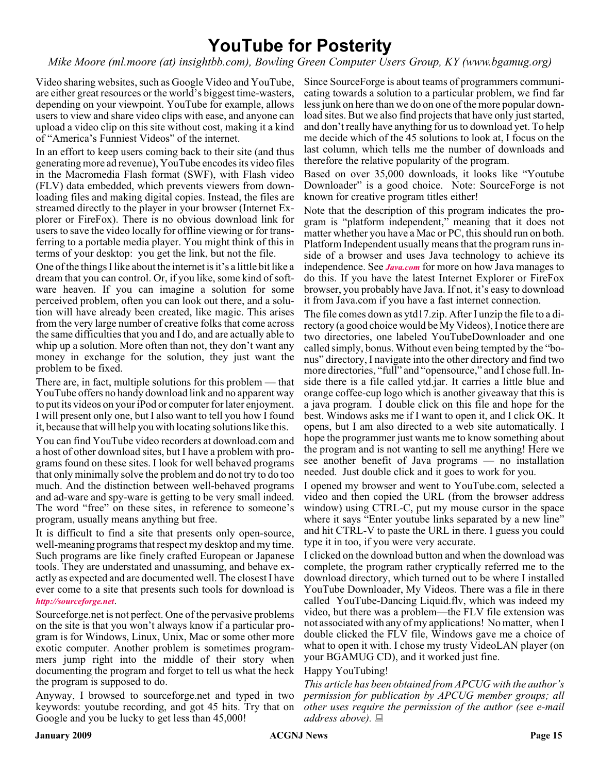## **YouTube for Posterity**

*Mike Moore (ml.moore (at) insightbb.com), Bowling Green Computer Users Group, KY (www.bgamug.org)*

Video sharing websites, such as Google Video and YouTube, are either great resources or the world's biggest time-wasters, depending on your viewpoint. YouTube for example, allows users to view and share video clips with ease, and anyone can upload a video clip on this site without cost, making it a kind of "America's Funniest Videos" of the internet.

In an effort to keep users coming back to their site (and thus generating more ad revenue), YouTube encodes its video files in the Macromedia Flash format (SWF), with Flash video (FLV) data embedded, which prevents viewers from downloading files and making digital copies. Instead, the files are streamed directly to the player in your browser (Internet Explorer or FireFox). There is no obvious download link for users to save the video locally for offline viewing or for transferring to a portable media player. You might think of this in terms of your desktop: you get the link, but not the file.

One of the things I like about the internet is it's a little bit like a dream that you can control. Or, if you like, some kind of software heaven. If you can imagine a solution for some perceived problem, often you can look out there, and a solution will have already been created, like magic. This arises from the very large number of creative folks that come across the same difficulties that you and I do, and are actually able to whip up a solution. More often than not, they don't want any money in exchange for the solution, they just want the problem to be fixed.

There are, in fact, multiple solutions for this problem — that YouTube offers no handy download link and no apparent way to put its videos on your iPod or computer for later enjoyment. I will present only one, but I also want to tell you how I found it, because that will help you with locating solutions like this.

You can find YouTube video recorders at download.com and a host of other download sites, but I have a problem with programs found on these sites. I look for well behaved programs that only minimally solve the problem and do not try to do too much. And the distinction between well-behaved programs and ad-ware and spy-ware is getting to be very small indeed. The word "free" on these sites, in reference to someone's program, usually means anything but free.

It is difficult to find a site that presents only open-source, well-meaning programs that respect my desktop and my time. Such programs are like finely crafted European or Japanese tools. They are understated and unassuming, and behave exactly as expected and are documented well. The closest I have ever come to a site that presents such tools for download is *<http://sourceforge.net>*.

Sourceforge.net is not perfect. One of the pervasive problems on the site is that you won't always know if a particular program is for Windows, Linux, Unix, Mac or some other more exotic computer. Another problem is sometimes programmers jump right into the middle of their story when documenting the program and forget to tell us what the heck the program is supposed to do.

Anyway, I browsed to sourceforge.net and typed in two keywords: youtube recording, and got 45 hits. Try that on Google and you be lucky to get less than 45,000!

Since SourceForge is about teams of programmers communicating towards a solution to a particular problem, we find far less junk on here than we do on one of the more popular download sites. But we also find projects that have only just started, and don't really have anything for us to download yet. To help me decide which of the 45 solutions to look at, I focus on the last column, which tells me the number of downloads and therefore the relative popularity of the program.

Based on over 35,000 downloads, it looks like "Youtube Downloader" is a good choice. Note: SourceForge is not known for creative program titles either!

Note that the description of this program indicates the program is "platform independent," meaning that it does not matter whether you have a Mac or PC, this should run on both. Platform Independent usually means that the program runs inside of a browser and uses Java technology to achieve its independence. See *[Java.com](http://Java.com)* for more on how Java manages to do this. If you have the latest Internet Explorer or FireFox browser, you probably have Java. If not, it's easy to download it from Java.com if you have a fast internet connection.

The file comes down as ytd17.zip. After I unzip the file to a directory (a good choice would be My Videos), I notice there are two directories, one labeled YouTubeDownloader and one called simply, bonus. Without even being tempted by the "bonus" directory, I navigate into the other directory and find two more directories, "full" and "opensource," and I chose full. Inside there is a file called ytd.jar. It carries a little blue and orange coffee-cup logo which is another giveaway that this is a java program. I double click on this file and hope for the best. Windows asks me if I want to open it, and I click OK. It opens, but I am also directed to a web site automatically. I hope the programmer just wants me to know something about the program and is not wanting to sell me anything! Here we see another benefit of Java programs — no installation needed. Just double click and it goes to work for you.

I opened my browser and went to YouTube.com, selected a video and then copied the URL (from the browser address window) using CTRL-C, put my mouse cursor in the space where it says "Enter youtube links separated by a new line" and hit CTRL-V to paste the URL in there. I guess you could type it in too, if you were very accurate.

I clicked on the download button and when the download was complete, the program rather cryptically referred me to the download directory, which turned out to be where I installed YouTube Downloader, My Videos. There was a file in there called YouTube-Dancing Liquid.flv, which was indeed my video, but there was a problem—the FLV file extension was not associated with any of my applications! No matter, when I double clicked the FLV file, Windows gave me a choice of what to open it with. I chose my trusty VideoLAN player (on your BGAMUG CD), and it worked just fine.

#### Happy YouTubing!

*This article has been obtained from APCUG with the author's permission for publication by APCUG member groups; all other uses require the permission of the author (see e-mail address above).*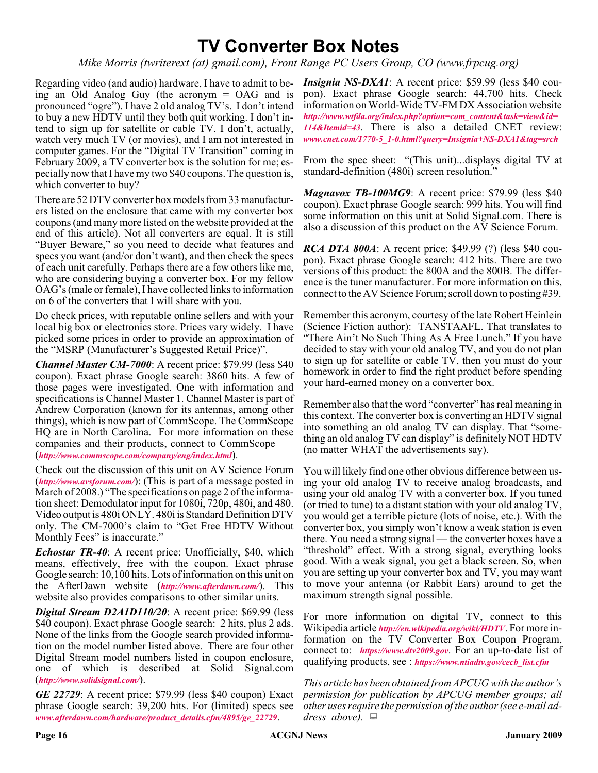## **TV Converter Box Notes**

*Mike Morris (twriterext (at) gmail.com), Front Range PC Users Group, CO (www.frpcug.org)*

Regarding video (and audio) hardware, I have to admit to being an Old Analog Guy (the acronym = OAG and is pronounced "ogre"). I have 2 old analog TV's. I don't intend to buy a new HDTV until they both quit working. I don't intend to sign up for satellite or cable TV. I don't, actually, watch very much TV (or movies), and I am not interested in computer games. For the "Digital TV Transition" coming in February 2009, a TV converter box is the solution for me; especially now that I have my two \$40 coupons. The question is, which converter to buy?

There are 52 DTV converter box models from 33 manufacturers listed on the enclosure that came with my converter box coupons (and many more listed on the website provided at the end of this article). Not all converters are equal. It is still "Buyer Beware," so you need to decide what features and specs you want (and/or don't want), and then check the specs of each unit carefully. Perhaps there are a few others like me, who are considering buying a converter box. For my fellow OAG's (male or female), I have collected links to information on 6 of the converters that I will share with you.

Do check prices, with reputable online sellers and with your local big box or electronics store. Prices vary widely. I have picked some prices in order to provide an approximation of the "MSRP (Manufacturer's Suggested Retail Price)".

*Channel Master CM-7000*: A recent price: \$79.99 (less \$40 coupon). Exact phrase Google search: 3860 hits. A few of those pages were investigated. One with information and specifications is Channel Master 1. Channel Master is part of Andrew Corporation (known for its antennas, among other things), which is now part of CommScope. The CommScope HQ are in North Carolina. For more information on these companies and their products, connect to CommScope (*<http://www.commscope.com/company/eng/index.html>*).

Check out the discussion of this unit on AV Science Forum (*<http://www.avsforum.com/>*): (This is part of a message posted in March of 2008.) "The specifications on page 2 of the information sheet: Demodulator input for 1080i, 720p, 480i, and 480. Video output is 480i ONLY. 480i is Standard Definition DTV only. The CM-7000's claim to "Get Free HDTV Without Monthly Fees" is inaccurate."

*Echostar TR-40*: A recent price: Unofficially, \$40, which means, effectively, free with the coupon. Exact phrase Google search: 10,100 hits. Lots of information on this unit on the AfterDawn website (*<http://www.afterdawn.com/>*). This website also provides comparisons to other similar units.

*Digital Stream D2A1D110/20*: A recent price: \$69.99 (less \$40 coupon). Exact phrase Google search: 2 hits, plus 2 ads. None of the links from the Google search provided information on the model number listed above. There are four other Digital Stream model numbers listed in coupon enclosure, one of which is described at Solid Signal.com (*<http://www.solidsignal.com/>*).

*GE 22729*: A recent price: \$79.99 (less \$40 coupon) Exact phrase Google search: 39,200 hits. For (limited) specs see *[www.afterdawn.com/hardware/product\\_details.cfm/4895/ge\\_22729](http://www.afterdawn.com/hardware/product_details.cfm/4895/ge_22729)*.

*Insignia NS-DXA1*: A recent price: \$59.99 (less \$40 coupon). Exact phrase Google search: 44,700 hits. Check information on World-Wide TV-FM DX Association website *[http://www.wtfda.org/index.php?option=com\\_content&task=view&id=](http://www.wtfda.org/index.php?option=com_content&task=view&id=114&Itemid=43) 114&Itemid=43*. There is also a detailed CNET review: *[www.cnet.com/1770-5\\_1-0.html?query=Insignia+NS-DXA1&tag=srch](http://www.cnet.com/1770-5_1-0.html?query=Insignia+NS-DXA1&tag=srch)*

From the spec sheet: "(This unit)...displays digital TV at standard-definition (480i) screen resolution."

*Magnavox TB-100MG9*: A recent price: \$79.99 (less \$40 coupon). Exact phrase Google search: 999 hits. You will find some information on this unit at Solid Signal.com. There is also a discussion of this product on the AV Science Forum.

*RCA DTA 800A*: A recent price: \$49.99 (?) (less \$40 coupon). Exact phrase Google search: 412 hits. There are two versions of this product: the 800A and the 800B. The difference is the tuner manufacturer. For more information on this, connect to the AV Science Forum; scroll down to posting #39.

Remember this acronym, courtesy of the late Robert Heinlein (Science Fiction author): TANSTAAFL. That translates to "There Ain't No Such Thing As A Free Lunch." If you have decided to stay with your old analog TV, and you do not plan to sign up for satellite or cable TV, then you must do your homework in order to find the right product before spending your hard-earned money on a converter box.

Remember also that the word "converter" has real meaning in this context. The converter box is converting an HDTV signal into something an old analog TV can display. That "something an old analog TV can display" is definitely NOT HDTV (no matter WHAT the advertisements say).

You will likely find one other obvious difference between using your old analog TV to receive analog broadcasts, and using your old analog TV with a converter box. If you tuned (or tried to tune) to a distant station with your old analog TV, you would get a terrible picture (lots of noise, etc.). With the converter box, you simply won't know a weak station is even there. You need a strong signal — the converter boxes have a "threshold" effect. With a strong signal, everything looks good. With a weak signal, you get a black screen. So, when you are setting up your converter box and TV, you may want to move your antenna (or Rabbit Ears) around to get the maximum strength signal possible.

For more information on digital TV, connect to this Wikipedia article *<http://en.wikipedia.org/wiki/HDTV>*. For more information on the TV Converter Box Coupon Program, connect to: *<https://www.dtv2009.gov>*. For an up-to-date list of qualifying products, see : *[https://www.ntiadtv.gov/cecb\\_list.cfm](https://www.ntiadtv.gov/cecb_list.cfm)*

*This article has been obtained from APCUG with the author's permission for publication by APCUG member groups; all other uses require the permission of the author (see e-mail address above).*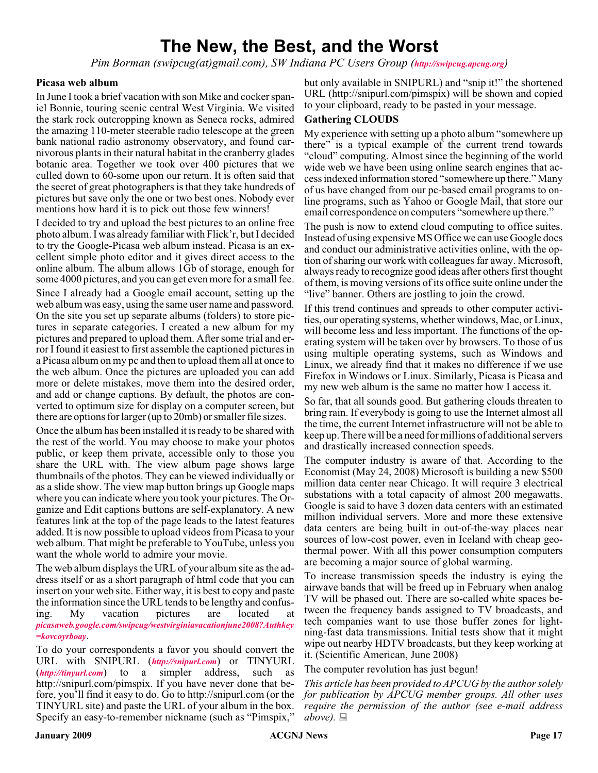## **The New, the Best, and the Worst**

*Pim Borman (swipcug(at)gmail.com), SW Indiana PC Users Group (<http://swipcug.apcug.org>)*

#### **Picasa web album**

In June I took a brief vacation with son Mike and cocker spaniel Bonnie, touring scenic central West Virginia. We visited the stark rock outcropping known as Seneca rocks, admired the amazing 110-meter steerable radio telescope at the green bank national radio astronomy observatory, and found carnivorous plants in their natural habitat in the cranberry glades botanic area. Together we took over 400 pictures that we culled down to 60-some upon our return. It is often said that the secret of great photographers is that they take hundreds of pictures but save only the one or two best ones. Nobody ever mentions how hard it is to pick out those few winners!

I decided to try and upload the best pictures to an online free photo album. I was already familiar with Flick'r, but I decided to try the Google-Picasa web album instead. Picasa is an excellent simple photo editor and it gives direct access to the online album. The album allows 1Gb of storage, enough for some 4000 pictures, and you can get even more for a small fee.

Since I already had a Google email account, setting up the web album was easy, using the same user name and password. On the site you set up separate albums (folders) to store pictures in separate categories. I created a new album for my pictures and prepared to upload them. After some trial and error I found it easiest to first assemble the captioned pictures in a Picasa album on my pc and then to upload them all at once to the web album. Once the pictures are uploaded you can add more or delete mistakes, move them into the desired order, and add or change captions. By default, the photos are converted to optimum size for display on a computer screen, but there are options for larger (up to 20mb) or smaller file sizes.

Once the album has been installed it is ready to be shared with the rest of the world. You may choose to make your photos public, or keep them private, accessible only to those you share the URL with. The view album page shows large thumbnails of the photos. They can be viewed individually or as a slide show. The view map button brings up Google maps where you can indicate where you took your pictures. The Organize and Edit captions buttons are self-explanatory. A new features link at the top of the page leads to the latest features added. It is now possible to upload videos from Picasa to your web album. That might be preferable to YouTube, unless you want the whole world to admire your movie.

The web album displays the URL of your album site as the address itself or as a short paragraph of html code that you can insert on your web site. Either way, it is best to copy and paste the information since the URL tends to be lengthy and confusing. My vacation pictures are located at *[picasaweb.google.com/swipcug/westvirginiavacationjune2008?Authkey](http://picasaweb.google.com/swipcug/westvirginiavacationjune2008?Authkey=kovcoyrboay) =kovcoyrboay*.

To do your correspondents a favor you should convert the URL with SNIPURL (*<http://snipurl.com>*) or TINYURL (*<http://tinyurl.com>*) to a simpler address, such as http://snipurl.com/pimspix. If you have never done that before, you'll find it easy to do. Go to http://snipurl.com (or the TINYURL site) and paste the URL of your album in the box. Specify an easy-to-remember nickname (such as "Pimspix," but only available in SNIPURL) and "snip it!" the shortened URL (http://snipurl.com/pimspix) will be shown and copied to your clipboard, ready to be pasted in your message.

#### **Gathering CLOUDS**

My experience with setting up a photo album "somewhere up there" is a typical example of the current trend towards "cloud" computing. Almost since the beginning of the world wide web we have been using online search engines that access indexed information stored "somewhere up there." Many of us have changed from our pc-based email programs to online programs, such as Yahoo or Google Mail, that store our email correspondence on computers "somewhere up there."

The push is now to extend cloud computing to office suites. Instead of using expensive MS Office we can use Google docs and conduct our administrative activities online, with the option of sharing our work with colleagues far away. Microsoft, always ready to recognize good ideas after others first thought of them, is moving versions of its office suite online under the "live" banner. Others are jostling to join the crowd.

If this trend continues and spreads to other computer activities, our operating systems, whether windows, Mac, or Linux, will become less and less important. The functions of the operating system will be taken over by browsers. To those of us using multiple operating systems, such as Windows and Linux, we already find that it makes no difference if we use Firefox in Windows or Linux. Similarly, Picasa is Picasa and my new web album is the same no matter how I access it.

So far, that all sounds good. But gathering clouds threaten to bring rain. If everybody is going to use the Internet almost all the time, the current Internet infrastructure will not be able to keep up. There will be a need for millions of additional servers and drastically increased connection speeds.

The computer industry is aware of that. According to the Economist (May 24, 2008) Microsoft is building a new \$500 million data center near Chicago. It will require 3 electrical substations with a total capacity of almost 200 megawatts. Google is said to have 3 dozen data centers with an estimated million individual servers. More and more these extensive data centers are being built in out-of-the-way places near sources of low-cost power, even in Iceland with cheap geothermal power. With all this power consumption computers are becoming a major source of global warming.

To increase transmission speeds the industry is eying the airwave bands that will be freed up in February when analog TV will be phased out. There are so-called white spaces between the frequency bands assigned to TV broadcasts, and tech companies want to use those buffer zones for lightning-fast data transmissions. Initial tests show that it might wipe out nearby HDTV broadcasts, but they keep working at it. (Scientific American, June 2008)

The computer revolution has just begun!

*This article has been provided to APCUG by the author solely for publication by APCUG member groups. All other uses require the permission of the author (see e-mail address above).*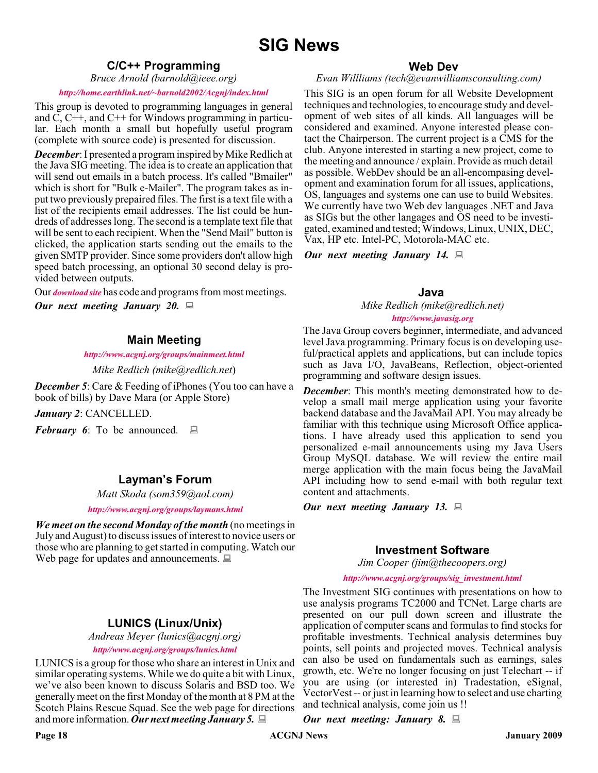#### **C/C++ Programming**

*Bruce Arnold (barnold@ieee.org)*

#### *<http://home.earthlink.net/~barnold2002/Acgnj/index.html>*

This group is devoted to programming languages in general and  $\tilde{C}$ ,  $\tilde{C}$ ++, and  $\tilde{C}$ ++ for Windows programming in particular. Each month a small but hopefully useful program (complete with source code) is presented for discussion.

*December*: I presented a program inspired by Mike Redlich at the Java SIG meeting. The idea is to create an application that will send out emails in a batch process. It's called "Bmailer" which is short for "Bulk e-Mailer". The program takes as input two previously prepaired files. The first is a text file with a list of the recipients email addresses. The list could be hundreds of addresses long. The second is a template text file that will be sent to each recipient. When the "Send Mail" button is clicked, the application starts sending out the emails to the given SMTP provider. Since some providers don't allow high speed batch processing, an optional 30 second delay is provided between outputs.

Our *[download site](http://home.earthlink.net/~barnold2002/Acgnj/Download.htm)* has code and programs from most meetings.

*Our next meeting January 20.*

#### **Main Meeting**

#### *<http://www.acgnj.org/groups/mainmeet.html>*

*Mike Redlich (mike@redlich.net*)

*December 5*: Care & Feeding of iPhones (You too can have a book of bills) by Dave Mara (or Apple Store)

*January 2*: CANCELLED.

*February 6*: To be announced. ■

#### **Layman's Forum**

*Matt Skoda (som359@aol.com)*

*<http://www.acgnj.org/groups/laymans.html>*

*We meet on the second Monday of the month* (no meetings in July and August) to discuss issues of interest to novice users or those who are planning to get started in computing. Watch our Web page for updates and announcements.  $\Box$ 

#### **LUNICS (Linux/Unix)**

*Andreas Meyer (lunics@acgnj.org)*

*<http//www.acgnj.org/groups/lunics.html>*

LUNICS is a group for those who share an interest in Unix and similar operating systems. While we do quite a bit with Linux, we've also been known to discuss Solaris and BSD too. We generally meet on the first Monday of the month at 8 PM at the Scotch Plains Rescue Squad. See the web page for directions and more information. *Our next meeting January 5.*

#### **Web Dev**

#### *Evan Willliams (tech@evanwilliamsconsulting.com)*

This SIG is an open forum for all Website Development techniques and technologies, to encourage study and development of web sites of all kinds. All languages will be considered and examined. Anyone interested please contact the Chairperson. The current project is a CMS for the club. Anyone interested in starting a new project, come to the meeting and announce / explain. Provide as much detail as possible. WebDev should be an all-encompasing development and examination forum for all issues, applications, OS, languages and systems one can use to build Websites. We currently have two Web dev languages .NET and Java as SIGs but the other langages and OS need to be investigated, examined and tested; Windows, Linux, UNIX, DEC, Vax, HP etc. Intel-PC, Motorola-MAC etc.

*Our next meeting January 14.*

#### **Java**

*Mike Redlich (mike@redlich.net)*

#### *<http://www.javasig.org>*

The Java Group covers beginner, intermediate, and advanced level Java programming. Primary focus is on developing useful/practical applets and applications, but can include topics such as Java I/O, JavaBeans, Reflection, object-oriented programming and software design issues.

*December*: This month's meeting demonstrated how to develop a small mail merge application using your favorite backend database and the JavaMail API. You may already be familiar with this technique using Microsoft Office applications. I have already used this application to send you personalized e-mail announcements using my Java Users Group MySQL database. We will review the entire mail merge application with the main focus being the JavaMail API including how to send e-mail with both regular text content and attachments.

*Our next meeting January 13.*

#### **Investment Software**

*Jim Cooper (jim@thecoopers.org)*

#### *[http://www.acgnj.org/groups/sig\\_investment.html](http://www.acgnj.org/groups/sig_investment.html)*

The Investment SIG continues with presentations on how to use analysis programs TC2000 and TCNet. Large charts are presented on our pull down screen and illustrate the application of computer scans and formulas to find stocks for profitable investments. Technical analysis determines buy points, sell points and projected moves. Technical analysis can also be used on fundamentals such as earnings, sales growth, etc. We're no longer focusing on just Telechart -- if you are using (or interested in) Tradestation, eSignal, VectorVest -- or just in learning how to select and use charting and technical analysis, come join us !!

*Our next meeting: January 8.*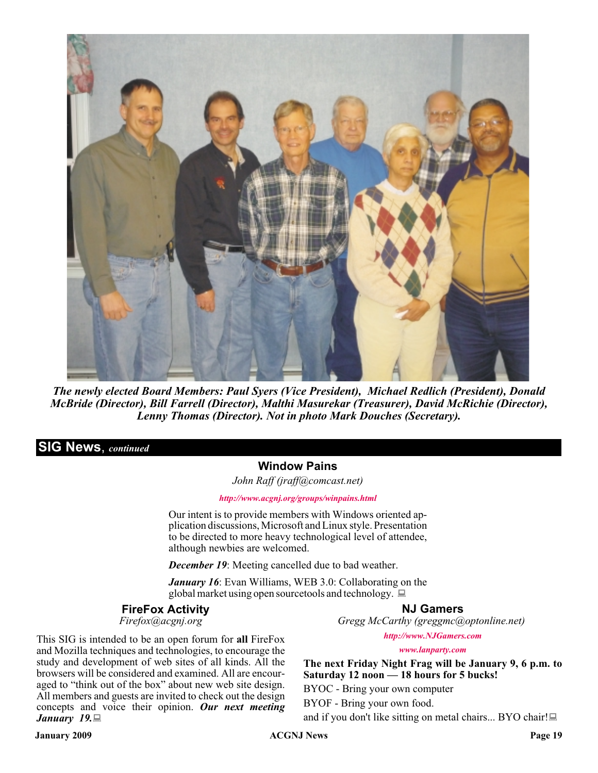

*The newly elected Board Members: Paul Syers (Vice President), Michael Redlich (President), Donald McBride (Director), Bill Farrell (Director), Malthi Masurekar (Treasurer), David McRichie (Director), Lenny Thomas (Director). Not in photo Mark Douches (Secretary).*

#### **SIG News**, *continued*

#### **Window Pains**

*John Raff (jraff@comcast.net)*

*<http://www.acgnj.org/groups/winpains.html>*

Our intent is to provide members with Windows oriented application discussions, Microsoft and Linux style. Presentation to be directed to more heavy technological level of attendee, although newbies are welcomed.

*December 19*: Meeting cancelled due to bad weather.

*January 16*: Evan Williams, WEB 3.0: Collaborating on the global market using open sourcetools and technology.  $\Box$ 

#### **FireFox Activity**

*Firefox@acgnj.org*

#### **NJ Gamers**

*Gregg McCarthy (greggmc@optonline.net)*

This SIG is intended to be an open forum for **all** FireFox and Mozilla techniques and technologies, to encourage the study and development of web sites of all kinds. All the browsers will be considered and examined. All are encouraged to "think out of the box" about new web site design. All members and guests are invited to check out the design concepts and voice their opinion. *Our next meeting January 19.*

*<http://www.NJGamers.com>*

*[www.lanparty.com](http://www.lanparty.com)*

**The next Friday Night Frag will be January 9, 6 p.m. to Saturday 12 noon — 18 hours for 5 bucks!** BYOC - Bring your own computer

BYOF - Bring your own food.

and if you don't like sitting on metal chairs... BYO chair!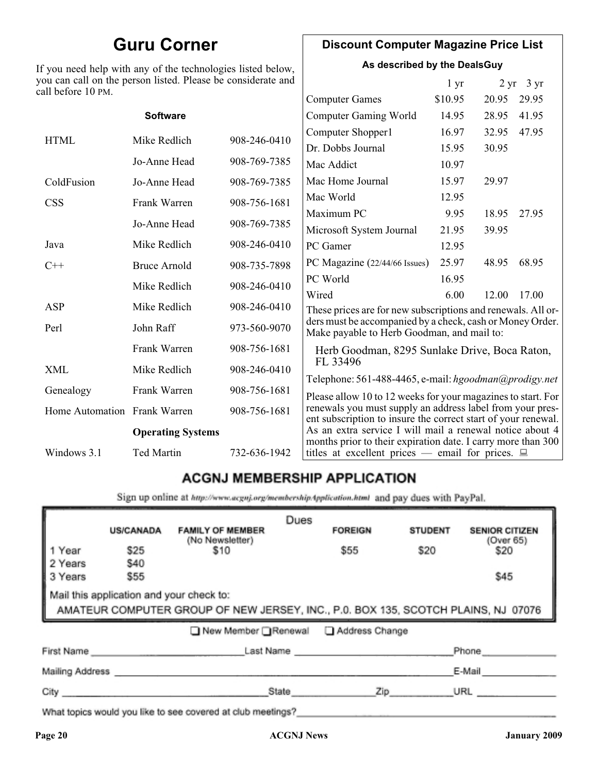## **Guru Corner**

If you need help with any of the technologies listed below, you can call on the person listed. Please be considerate and ca

### **Discount Computer Magazine Price List**

**As described by the DealsGuy**

 $1 \text{ yr}$   $2 \text{ yr}$   $3 \text{ yr}$ 

| ll before 10 PM.             |                          |              |                                                                                                                            |         |       |       |
|------------------------------|--------------------------|--------------|----------------------------------------------------------------------------------------------------------------------------|---------|-------|-------|
|                              |                          |              | <b>Computer Games</b>                                                                                                      | \$10.95 | 20.95 | 29.95 |
|                              | <b>Software</b>          |              | <b>Computer Gaming World</b>                                                                                               | 14.95   | 28.95 | 41.95 |
| <b>HTML</b>                  | Mike Redlich             | 908-246-0410 | Computer Shopper1                                                                                                          | 16.97   | 32.95 | 47.95 |
|                              |                          |              | Dr. Dobbs Journal                                                                                                          | 15.95   | 30.95 |       |
|                              | Jo-Anne Head             | 908-769-7385 | Mac Addict                                                                                                                 | 10.97   |       |       |
| ColdFusion                   | Jo-Anne Head             | 908-769-7385 | Mac Home Journal                                                                                                           | 15.97   | 29.97 |       |
| <b>CSS</b>                   | Frank Warren             | 908-756-1681 | Mac World                                                                                                                  | 12.95   |       |       |
|                              |                          |              | Maximum PC                                                                                                                 | 9.95    | 18.95 | 27.95 |
|                              | Jo-Anne Head             | 908-769-7385 | Microsoft System Journal                                                                                                   | 21.95   | 39.95 |       |
| Java                         | Mike Redlich             | 908-246-0410 | PC Gamer                                                                                                                   | 12.95   |       |       |
| $C++$                        | <b>Bruce Arnold</b>      | 908-735-7898 | PC Magazine (22/44/66 Issues)                                                                                              | 25.97   | 48.95 | 68.95 |
|                              | Mike Redlich             | 908-246-0410 | PC World                                                                                                                   | 16.95   |       |       |
|                              |                          |              | Wired                                                                                                                      | 6.00    | 12.00 | 17.00 |
| ASP                          | Mike Redlich             | 908-246-0410 | These prices are for new subscriptions and renewals. All or-                                                               |         |       |       |
| Perl                         | John Raff                | 973-560-9070 | ders must be accompanied by a check, cash or Money Order.<br>Make payable to Herb Goodman, and mail to:                    |         |       |       |
|                              | Frank Warren             | 908-756-1681 | Herb Goodman, 8295 Sunlake Drive, Boca Raton,                                                                              |         |       |       |
| XML                          | Mike Redlich             | 908-246-0410 | FL 33496<br>Telephone: 561-488-4465, e-mail: hgoodman@prodigy.net                                                          |         |       |       |
| Genealogy                    | Frank Warren             | 908-756-1681 | Please allow 10 to 12 weeks for your magazines to start. For                                                               |         |       |       |
| Home Automation Frank Warren |                          | 908-756-1681 | renewals you must supply an address label from your pres-<br>ent subscription to insure the correct start of your renewal. |         |       |       |
|                              | <b>Operating Systems</b> |              | As an extra service I will mail a renewal notice about 4                                                                   |         |       |       |
| Windows 3.1                  | Ted Martin               | 732-636-1942 | months prior to their expiration date. I carry more than 300<br>titles at excellent prices — email for prices. $\Box$      |         |       |       |
|                              |                          |              |                                                                                                                            |         |       |       |

## **ACGNJ MEMBERSHIP APPLICATION**

Sign up online at http://www.acgnj.org/membershipApplication.html and pay dues with PayPal.

|                                                                                                                                                                                                                               | <b>US/CANADA</b> | <b>FAMILY OF MEMBER</b>               | Dues  | <b>FOREIGN</b> | <b>STUDENT</b> | <b>SENIOR CITIZEN</b> |
|-------------------------------------------------------------------------------------------------------------------------------------------------------------------------------------------------------------------------------|------------------|---------------------------------------|-------|----------------|----------------|-----------------------|
| 1 Year                                                                                                                                                                                                                        | \$25             | (No Newsletter)<br>\$10               |       | \$55           | \$20           | (Over 65)<br>\$20     |
| 2 Years                                                                                                                                                                                                                       | \$40             |                                       |       |                |                |                       |
| 3 Years                                                                                                                                                                                                                       | \$55             |                                       |       |                |                | \$45                  |
| Mail this application and your check to:<br>AMATEUR COMPUTER GROUP OF NEW JERSEY, INC., P.0. BOX 135, SCOTCH PLAINS, NJ 07076                                                                                                 |                  |                                       |       |                |                |                       |
|                                                                                                                                                                                                                               |                  | ■ New Member Renewal ■ Address Change |       |                |                |                       |
| First Name                                                                                                                                                                                                                    |                  |                                       |       | Last Name      |                | Phone                 |
| Mailing Address                                                                                                                                                                                                               |                  |                                       |       |                |                | E-Mail                |
| City <b>Communication</b>                                                                                                                                                                                                     |                  |                                       | State | Zip            |                | URL                   |
| The contract of the second state of the state of the state of the state of the state of the state of the state of the state of the state of the state of the state of the state of the state of the state of the state of the |                  |                                       |       |                |                |                       |

What topics would you like to see covered at club meetings?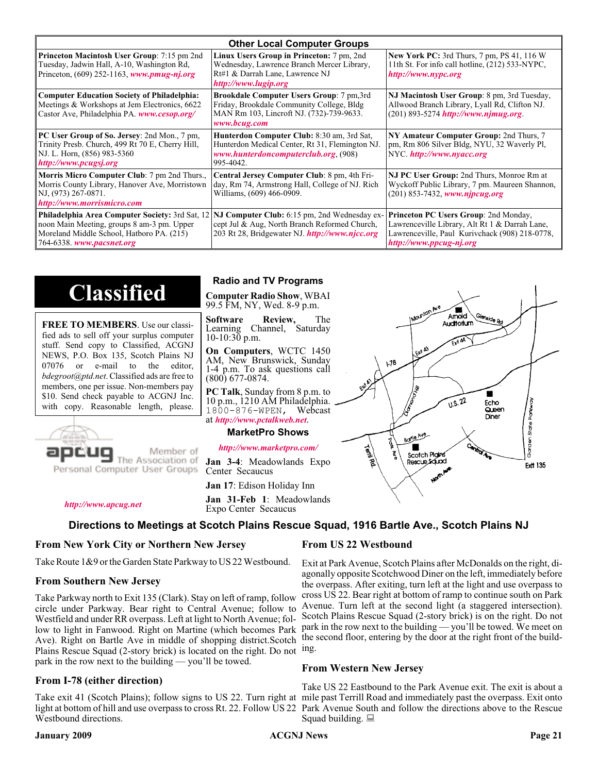| <b>Other Local Computer Groups</b>                                                                                                                                             |                                                                                                                                                           |                                                                                                                                                                      |  |  |
|--------------------------------------------------------------------------------------------------------------------------------------------------------------------------------|-----------------------------------------------------------------------------------------------------------------------------------------------------------|----------------------------------------------------------------------------------------------------------------------------------------------------------------------|--|--|
| <b>Princeton Macintosh User Group:</b> 7:15 pm 2nd<br>Tuesday, Jadwin Hall, A-10, Washington Rd,<br>Princeton, $(609)$ 252-1163, www.pmug-nj.org                               | Linux Users Group in Princeton: 7 pm, 2nd<br>Wednesday, Lawrence Branch Mercer Library,<br>Rt#1 & Darrah Lane, Lawrence NJ<br>http://www.lugip.org        | <b>New York PC:</b> 3rd Thurs, 7 pm, PS 41, 116 W<br>11th St. For info call hotline, (212) 533-NYPC,<br>http://www.nypc.org                                          |  |  |
| <b>Computer Education Society of Philadelphia:</b><br>Meetings & Workshops at Jem Electronics, 6622<br>Castor Ave, Philadelphia PA. www.cesop.org/                             | <b>Brookdale Computer Users Group:</b> 7 pm, 3rd<br>Friday, Brookdale Community College, Bldg<br>MAN Rm 103, Lincroft NJ. (732)-739-9633.<br>www.bcug.com | NJ Macintosh User Group: 8 pm, 3rd Tuesday,<br>Allwood Branch Library, Lyall Rd, Clifton NJ.<br>(201) 893-5274 http://www.njmug.org                                  |  |  |
| PC User Group of So. Jersey: 2nd Mon., 7 pm,<br>Trinity Presb. Church, 499 Rt 70 E, Cherry Hill,<br>NJ. L. Horn, (856) 983-5360<br>http://www.pcugsj.org                       | Hunterdon Computer Club: 8:30 am, 3rd Sat,<br>Hunterdon Medical Center, Rt 31, Flemington NJ.<br>www.hunterdoncomputerclub.org (908)<br>995-4042.         | NY Amateur Computer Group: 2nd Thurs, 7<br>pm, Rm 806 Silver Bldg, NYU, 32 Waverly Pl,<br>NYC http://www.nyacc.org                                                   |  |  |
| <b>Morris Micro Computer Club:</b> 7 pm 2nd Thurs.,<br>Morris County Library, Hanover Ave, Morristown<br>NJ, (973) 267-0871.<br>http://www.morrismicro.com                     | Central Jersey Computer Club: 8 pm, 4th Fri-<br>day, Rm 74, Armstrong Hall, College of NJ. Rich<br>Williams, (609) 466-0909.                              | NJ PC User Group: 2nd Thurs, Monroe Rm at<br>Wyckoff Public Library, 7 pm. Maureen Shannon,<br>(201) 853-7432, www.njpcug.org                                        |  |  |
| <b>Philadelphia Area Computer Society: 3rd Sat, 12</b><br>noon Main Meeting, groups 8 am-3 pm. Upper<br>Moreland Middle School, Hatboro PA. (215)<br>764-6338. www.pacsnet.org | <b>NJ Computer Club:</b> 6:15 pm, 2nd Wednesday ex-<br>cept Jul & Aug, North Branch Reformed Church,<br>203 Rt 28, Bridgewater NJ. http://www.njcc.org    | Princeton PC Users Group: 2nd Monday,<br>Lawrenceville Library, Alt Rt 1 & Darrah Lane,<br>Lawrenceville, Paul Kurivchack (908) 218-0778,<br>http://www.ppcug-nj.org |  |  |

# **Classified**

**FREE TO MEMBERS**. Use our classified ads to sell off your surplus computer stuff. Send copy to Classified, ACGNJ NEWS, P.O. Box 135, Scotch Plains NJ 07076 or e-mail to the editor, *bdegroot@ptd.net*. Classified ads are free to members, one per issue. Non-members pay \$10. Send check payable to ACGNJ Inc. with copy. Reasonable length, please.



Member of The Association of

Personal Computer User Groups

**Jan 31-Feb 1**: Meadowlands Expo Center Secaucus

#### *<http://www.apcug.net>*

#### **Directions to Meetings at Scotch Plains Rescue Squad, 1916 Bartle Ave., Scotch Plains NJ**

#### **From New York City or Northern New Jersey**

Take Route 1&9 or the Garden State Parkway to US 22 Westbound.

#### **From Southern New Jersey**

Take Parkway north to Exit 135 (Clark). Stay on left of ramp, follow circle under Parkway. Bear right to Central Avenue; follow to Westfield and under RR overpass. Left at light to North Avenue; follow to light in Fanwood. Right on Martine (which becomes Park Ave). Right on Bartle Ave in middle of shopping district.Scotch Plains Rescue Squad (2-story brick) is located on the right. Do not ing. park in the row next to the building — you'll be towed.

#### **From I-78 (either direction)**

Take exit 41 (Scotch Plains); follow signs to US 22. Turn right at mile past Terrill Road and immediately past the overpass. Exit onto light at bottom of hill and use overpass to cross Rt. 22. Follow US 22 Park Avenue South and follow the directions above to the Rescue Westbound directions.

#### **Radio and TV Programs**

**Computer Radio Show**, WBAI 99.5 FM, NY, Wed. 8-9 p.m.

**Software Review,** The Learning Channel, Saturday 10-10:30 p.m.

**On Computers**, WCTC 1450 AM, New Brunswick, Sunday 1-4 p.m. To ask questions call (800) 677-0874.

**PC Talk**, Sunday from 8 p.m. to 10 p.m., 1210 AM Philadelphia. 1800-876-WPEN, Webcast at *<http://www.pctalkweb.net>*.

#### **MarketPro Shows**

#### *<http://www.marketpro.com/>*

**Jan 3-4**: Meadowlands Expo Center Secaucus

**Jan 17**: Edison Holiday Inn

#### **From US 22 Westbound**

Exit at Park Avenue, Scotch Plains after McDonalds on the right, diagonally opposite Scotchwood Diner on the left, immediately before the overpass. After exiting, turn left at the light and use overpass to cross US 22. Bear right at bottom of ramp to continue south on Park Avenue. Turn left at the second light (a staggered intersection). Scotch Plains Rescue Squad (2-story brick) is on the right. Do not park in the row next to the building — you'll be towed. We meet on the second floor, entering by the door at the right front of the build-

#### **From Western New Jersey**

Take US 22 Eastbound to the Park Avenue exit. The exit is about a Squad building.  $\Box$